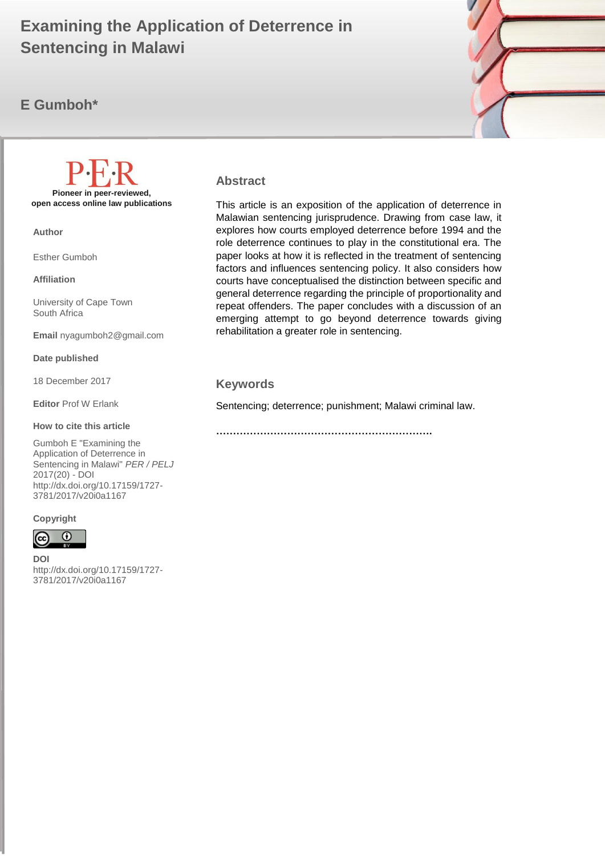# **Sentencing in Malawi Exercise 2017 (20) 12:33 (20) 12:34 (20) 12:34 (20) 12:34 (20) 12:34 (20) 12:34 (20) 12:34 (20) 12:34 (20) 12:34 (20) 12:34 (20) 12:34 (20) 12:34 (20) 12:34 (20) 12:34 (20) 12:34 (20) 12:34 (20) 12: Examining the Application of Deterrence in**

## **E Gumboh\***



**Pioneer in peer-reviewed, open access online law publications**

**Author**

Esther Gumboh

**Affiliation**

University of Cape Town South Africa

**Email** nyagumboh2@gmail.com

**Date published**

18 December 2017

**Editor** Prof W Erlank

#### **How to cite this article**

Gumboh E "Examining the Application of Deterrence in Sentencing in Malawi" *PER / PELJ* 2017(20) - DOI http://dx.doi.org/10.17159/1727- 3781/2017/v20i0a1167

#### **Copyright**



**DOI**  http://dx.doi.org/10.17159/1727- 3781/2017/v20i0a1167

#### **Abstract**

This article is an exposition of the application of deterrence in Malawian sentencing jurisprudence. Drawing from case law, it explores how courts employed deterrence before 1994 and the role deterrence continues to play in the constitutional era. The paper looks at how it is reflected in the treatment of sentencing factors and influences sentencing policy. It also considers how courts have conceptualised the distinction between specific and general deterrence regarding the principle of proportionality and repeat offenders. The paper concludes with a discussion of an emerging attempt to go beyond deterrence towards giving rehabilitation a greater role in sentencing.

#### **Keywords**

Sentencing; deterrence; punishment; Malawi criminal law.

**……………………………………………………….**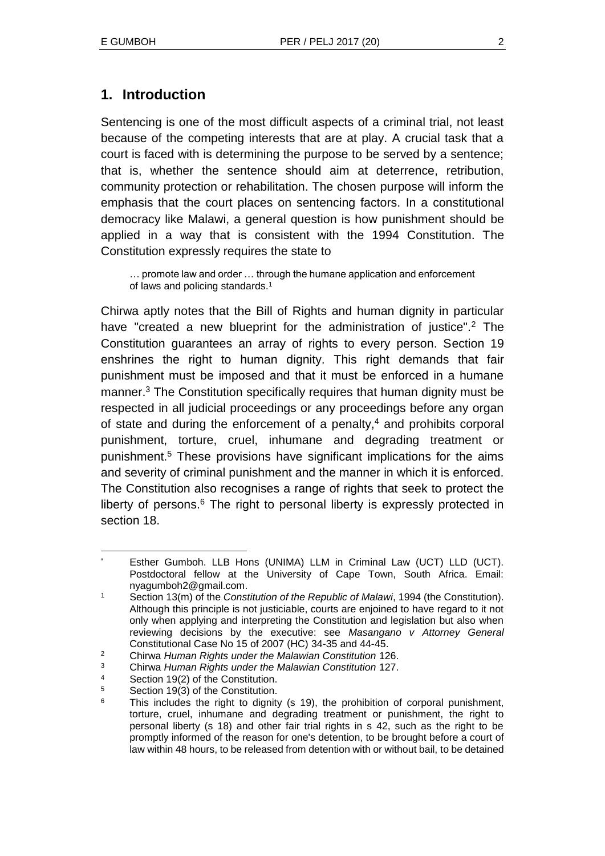### **1. Introduction**

Sentencing is one of the most difficult aspects of a criminal trial, not least because of the competing interests that are at play. A crucial task that a court is faced with is determining the purpose to be served by a sentence; that is, whether the sentence should aim at deterrence, retribution, community protection or rehabilitation. The chosen purpose will inform the emphasis that the court places on sentencing factors. In a constitutional democracy like Malawi, a general question is how punishment should be applied in a way that is consistent with the 1994 Constitution. The Constitution expressly requires the state to

… promote law and order … through the humane application and enforcement of laws and policing standards.<sup>1</sup>

Chirwa aptly notes that the Bill of Rights and human dignity in particular have "created a new blueprint for the administration of justice".<sup>2</sup> The Constitution guarantees an array of rights to every person. Section 19 enshrines the right to human dignity. This right demands that fair punishment must be imposed and that it must be enforced in a humane manner.<sup>3</sup> The Constitution specifically requires that human dignity must be respected in all judicial proceedings or any proceedings before any organ of state and during the enforcement of a penalty, $4$  and prohibits corporal punishment, torture, cruel, inhumane and degrading treatment or punishment.<sup>5</sup> These provisions have significant implications for the aims and severity of criminal punishment and the manner in which it is enforced. The Constitution also recognises a range of rights that seek to protect the liberty of persons.<sup>6</sup> The right to personal liberty is expressly protected in section 18.

l Esther Gumboh. LLB Hons (UNIMA) LLM in Criminal Law (UCT) LLD (UCT). Postdoctoral fellow at the University of Cape Town, South Africa. Email: nyagumboh2@gmail.com.

<sup>1</sup> Section 13(m) of the *Constitution of the Republic of Malawi*, 1994 (the Constitution). Although this principle is not justiciable, courts are enjoined to have regard to it not only when applying and interpreting the Constitution and legislation but also when reviewing decisions by the executive: see *Masangano v Attorney General* Constitutional Case No 15 of 2007 (HC) 34-35 and 44-45.

<sup>2</sup> Chirwa *Human Rights under the Malawian Constitution* 126.

<sup>3</sup> Chirwa *Human Rights under the Malawian Constitution* 127.

<sup>4</sup> Section 19(2) of the Constitution.

 $5$  Section 19(3) of the Constitution.

This includes the right to dignity (s 19), the prohibition of corporal punishment, torture, cruel, inhumane and degrading treatment or punishment, the right to personal liberty (s 18) and other fair trial rights in s 42, such as the right to be promptly informed of the reason for one's detention, to be brought before a court of law within 48 hours, to be released from detention with or without bail, to be detained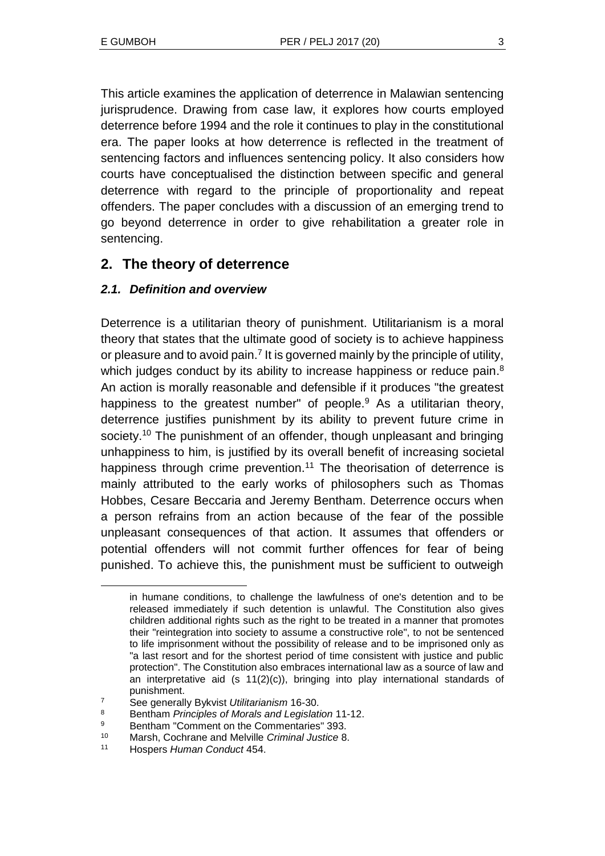This article examines the application of deterrence in Malawian sentencing jurisprudence. Drawing from case law, it explores how courts employed deterrence before 1994 and the role it continues to play in the constitutional era. The paper looks at how deterrence is reflected in the treatment of sentencing factors and influences sentencing policy. It also considers how courts have conceptualised the distinction between specific and general deterrence with regard to the principle of proportionality and repeat offenders. The paper concludes with a discussion of an emerging trend to go beyond deterrence in order to give rehabilitation a greater role in sentencing.

## **2. The theory of deterrence**

#### *2.1. Definition and overview*

Deterrence is a utilitarian theory of punishment. Utilitarianism is a moral theory that states that the ultimate good of society is to achieve happiness or pleasure and to avoid pain.<sup>7</sup> It is governed mainly by the principle of utility, which judges conduct by its ability to increase happiness or reduce pain.<sup>8</sup> An action is morally reasonable and defensible if it produces "the greatest happiness to the greatest number" of people.<sup>9</sup> As a utilitarian theory, deterrence justifies punishment by its ability to prevent future crime in society.<sup>10</sup> The punishment of an offender, though unpleasant and bringing unhappiness to him, is justified by its overall benefit of increasing societal happiness through crime prevention.<sup>11</sup> The theorisation of deterrence is mainly attributed to the early works of philosophers such as Thomas Hobbes, Cesare Beccaria and Jeremy Bentham. Deterrence occurs when a person refrains from an action because of the fear of the possible unpleasant consequences of that action. It assumes that offenders or potential offenders will not commit further offences for fear of being punished. To achieve this, the punishment must be sufficient to outweigh

in humane conditions, to challenge the lawfulness of one's detention and to be released immediately if such detention is unlawful. The Constitution also gives children additional rights such as the right to be treated in a manner that promotes their "reintegration into society to assume a constructive role", to not be sentenced to life imprisonment without the possibility of release and to be imprisoned only as "a last resort and for the shortest period of time consistent with justice and public protection". The Constitution also embraces international law as a source of law and an interpretative aid (s 11(2)(c)), bringing into play international standards of punishment.

<sup>7</sup> See generally Bykvist *Utilitarianism* 16-30.

<sup>8</sup> Bentham *Principles of Morals and Legislation* 11-12.

<sup>9</sup> Bentham "Comment on the Commentaries" 393.

<sup>10</sup> Marsh, Cochrane and Melville *Criminal Justice* 8.

<sup>11</sup> Hospers *Human Conduct* 454.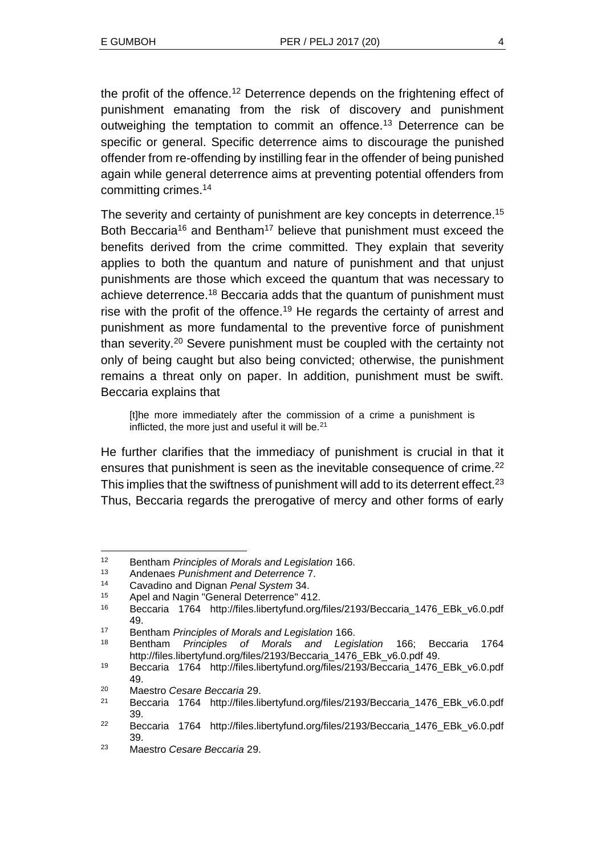the profit of the offence.<sup>12</sup> Deterrence depends on the frightening effect of punishment emanating from the risk of discovery and punishment outweighing the temptation to commit an offence.<sup>13</sup> Deterrence can be specific or general. Specific deterrence aims to discourage the punished offender from re-offending by instilling fear in the offender of being punished again while general deterrence aims at preventing potential offenders from committing crimes.<sup>14</sup>

The severity and certainty of punishment are key concepts in deterrence.<sup>15</sup> Both Beccaria<sup>16</sup> and Bentham<sup>17</sup> believe that punishment must exceed the benefits derived from the crime committed. They explain that severity applies to both the quantum and nature of punishment and that unjust punishments are those which exceed the quantum that was necessary to achieve deterrence.<sup>18</sup> Beccaria adds that the quantum of punishment must rise with the profit of the offence.<sup>19</sup> He regards the certainty of arrest and punishment as more fundamental to the preventive force of punishment than severity.<sup>20</sup> Severe punishment must be coupled with the certainty not only of being caught but also being convicted; otherwise, the punishment remains a threat only on paper. In addition, punishment must be swift. Beccaria explains that

[t]he more immediately after the commission of a crime a punishment is inflicted, the more just and useful it will be.<sup>21</sup>

He further clarifies that the immediacy of punishment is crucial in that it ensures that punishment is seen as the inevitable consequence of crime.<sup>22</sup> This implies that the swiftness of punishment will add to its deterrent effect.<sup>23</sup> Thus, Beccaria regards the prerogative of mercy and other forms of early

<sup>12</sup> Bentham *Principles of Morals and Legislation* 166.

<sup>13</sup> Andenaes *Punishment and Deterrence* 7.

<sup>14</sup> Cavadino and Dignan *Penal System* 34.

Apel and Nagin "General Deterrence" 412.

<sup>16</sup> Beccaria 1764 http://files.libertyfund.org/files/2193/Beccaria\_1476\_EBk\_v6.0.pdf 49.

<sup>17</sup> Bentham *Principles of Morals and Legislation* 166.

<sup>18</sup> Bentham *Principles of Morals and Legislation* 166; Beccaria 1764 http://files.libertyfund.org/files/2193/Beccaria\_1476\_EBk\_v6.0.pdf 49.

<sup>19</sup> Beccaria 1764 http://files.libertyfund.org/files/2193/Beccaria\_1476\_EBk\_v6.0.pdf 49.

<sup>20</sup> Maestro *Cesare Beccaria* 29.

<sup>21</sup> Beccaria 1764 http://files.libertyfund.org/files/2193/Beccaria\_1476\_EBk\_v6.0.pdf 39.

<sup>22</sup> Beccaria 1764 http://files.libertyfund.org/files/2193/Beccaria\_1476\_EBk\_v6.0.pdf 39.

<sup>23</sup> Maestro *Cesare Beccaria* 29.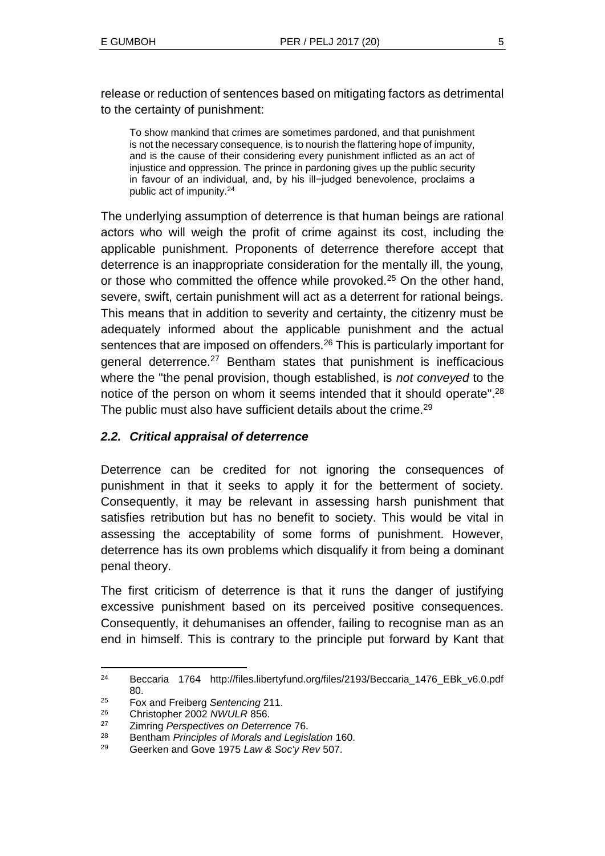release or reduction of sentences based on mitigating factors as detrimental to the certainty of punishment:

To show mankind that crimes are sometimes pardoned, and that punishment is not the necessary consequence, is to nourish the flattering hope of impunity, and is the cause of their considering every punishment inflicted as an act of injustice and oppression. The prince in pardoning gives up the public security in favour of an individual, and, by his ill−judged benevolence, proclaims a public act of impunity.<sup>24</sup>

The underlying assumption of deterrence is that human beings are rational actors who will weigh the profit of crime against its cost, including the applicable punishment. Proponents of deterrence therefore accept that deterrence is an inappropriate consideration for the mentally ill, the young, or those who committed the offence while provoked.<sup>25</sup> On the other hand, severe, swift, certain punishment will act as a deterrent for rational beings. This means that in addition to severity and certainty, the citizenry must be adequately informed about the applicable punishment and the actual sentences that are imposed on offenders.<sup>26</sup> This is particularly important for general deterrence.<sup>27</sup> Bentham states that punishment is inefficacious where the "the penal provision, though established, is *not conveyed* to the notice of the person on whom it seems intended that it should operate".<sup>28</sup> The public must also have sufficient details about the crime.<sup>29</sup>

### *2.2. Critical appraisal of deterrence*

Deterrence can be credited for not ignoring the consequences of punishment in that it seeks to apply it for the betterment of society. Consequently, it may be relevant in assessing harsh punishment that satisfies retribution but has no benefit to society. This would be vital in assessing the acceptability of some forms of punishment. However, deterrence has its own problems which disqualify it from being a dominant penal theory.

The first criticism of deterrence is that it runs the danger of justifying excessive punishment based on its perceived positive consequences. Consequently, it dehumanises an offender, failing to recognise man as an end in himself. This is contrary to the principle put forward by Kant that

l <sup>24</sup> Beccaria 1764 http://files.libertyfund.org/files/2193/Beccaria\_1476\_EBk\_v6.0.pdf 80.

<sup>25</sup> Fox and Freiberg *Sentencing* 211.

<sup>26</sup> Christopher 2002 *NWULR* 856.

<sup>27</sup> Zimring *Perspectives on Deterrence* 76.

<sup>28</sup> Bentham *Principles of Morals and Legislation* 160.

<sup>29</sup> Geerken and Gove 1975 *Law & Soc'y Rev* 507.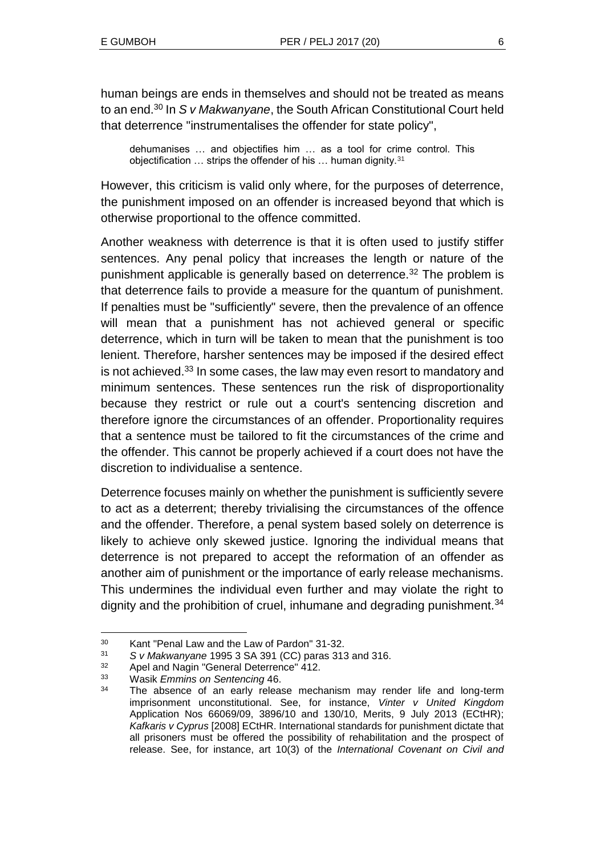human beings are ends in themselves and should not be treated as means to an end.<sup>30</sup> In *S v Makwanyane*, the South African Constitutional Court held that deterrence "instrumentalises the offender for state policy",

dehumanises … and objectifies him … as a tool for crime control. This objectification ... strips the offender of his ... human dignity.<sup>31</sup>

However, this criticism is valid only where, for the purposes of deterrence, the punishment imposed on an offender is increased beyond that which is otherwise proportional to the offence committed.

Another weakness with deterrence is that it is often used to justify stiffer sentences. Any penal policy that increases the length or nature of the punishment applicable is generally based on deterrence.<sup>32</sup> The problem is that deterrence fails to provide a measure for the quantum of punishment. If penalties must be "sufficiently" severe, then the prevalence of an offence will mean that a punishment has not achieved general or specific deterrence, which in turn will be taken to mean that the punishment is too lenient. Therefore, harsher sentences may be imposed if the desired effect is not achieved.<sup>33</sup> In some cases, the law may even resort to mandatory and minimum sentences. These sentences run the risk of disproportionality because they restrict or rule out a court's sentencing discretion and therefore ignore the circumstances of an offender. Proportionality requires that a sentence must be tailored to fit the circumstances of the crime and the offender. This cannot be properly achieved if a court does not have the discretion to individualise a sentence.

Deterrence focuses mainly on whether the punishment is sufficiently severe to act as a deterrent; thereby trivialising the circumstances of the offence and the offender. Therefore, a penal system based solely on deterrence is likely to achieve only skewed justice. Ignoring the individual means that deterrence is not prepared to accept the reformation of an offender as another aim of punishment or the importance of early release mechanisms. This undermines the individual even further and may violate the right to dignity and the prohibition of cruel, inhumane and degrading punishment.<sup>34</sup>

 $30$  Kant "Penal Law and the Law of Pardon" 31-32.

<sup>31</sup> *S v Makwanyane* 1995 3 SA 391 (CC) paras 313 and 316.

Apel and Nagin "General Deterrence" 412.

<sup>33</sup> Wasik *Emmins on Sentencing* 46.

<sup>&</sup>lt;sup>34</sup> The absence of an early release mechanism may render life and long-term imprisonment unconstitutional. See, for instance, *Vinter v United Kingdom*  Application Nos 66069/09, 3896/10 and 130/10, Merits, 9 July 2013 (ECtHR); *Kafkaris v Cyprus* [2008] ECtHR. International standards for punishment dictate that all prisoners must be offered the possibility of rehabilitation and the prospect of release. See, for instance, art 10(3) of the *International Covenant on Civil and*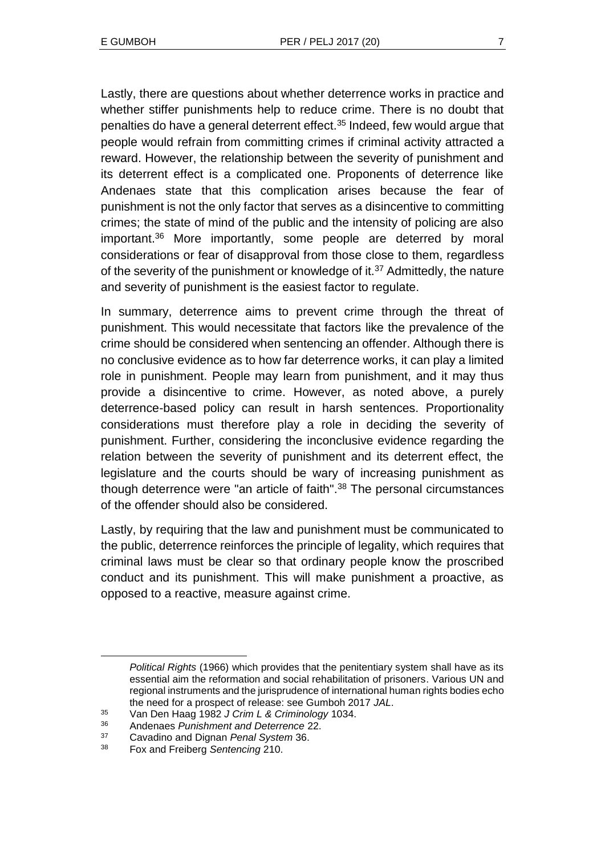Lastly, there are questions about whether deterrence works in practice and whether stiffer punishments help to reduce crime. There is no doubt that penalties do have a general deterrent effect.<sup>35</sup> Indeed, few would argue that people would refrain from committing crimes if criminal activity attracted a reward. However, the relationship between the severity of punishment and its deterrent effect is a complicated one. Proponents of deterrence like Andenaes state that this complication arises because the fear of punishment is not the only factor that serves as a disincentive to committing crimes; the state of mind of the public and the intensity of policing are also important.<sup>36</sup> More importantly, some people are deterred by moral considerations or fear of disapproval from those close to them, regardless of the severity of the punishment or knowledge of it.<sup>37</sup> Admittedly, the nature and severity of punishment is the easiest factor to regulate.

In summary, deterrence aims to prevent crime through the threat of punishment. This would necessitate that factors like the prevalence of the crime should be considered when sentencing an offender. Although there is no conclusive evidence as to how far deterrence works, it can play a limited role in punishment. People may learn from punishment, and it may thus provide a disincentive to crime. However, as noted above, a purely deterrence-based policy can result in harsh sentences. Proportionality considerations must therefore play a role in deciding the severity of punishment. Further, considering the inconclusive evidence regarding the relation between the severity of punishment and its deterrent effect, the legislature and the courts should be wary of increasing punishment as though deterrence were "an article of faith".<sup>38</sup> The personal circumstances of the offender should also be considered.

Lastly, by requiring that the law and punishment must be communicated to the public, deterrence reinforces the principle of legality, which requires that criminal laws must be clear so that ordinary people know the proscribed conduct and its punishment. This will make punishment a proactive, as opposed to a reactive, measure against crime.

*Political Rights* (1966) which provides that the penitentiary system shall have as its essential aim the reformation and social rehabilitation of prisoners. Various UN and regional instruments and the jurisprudence of international human rights bodies echo the need for a prospect of release: see Gumboh 2017 *JAL*.

<sup>35</sup> Van Den Haag 1982 *J Crim L & Criminology* 1034.

<sup>36</sup> Andenaes *Punishment and Deterrence* 22.

<sup>37</sup> Cavadino and Dignan *Penal System* 36.

<sup>38</sup> Fox and Freiberg *Sentencing* 210.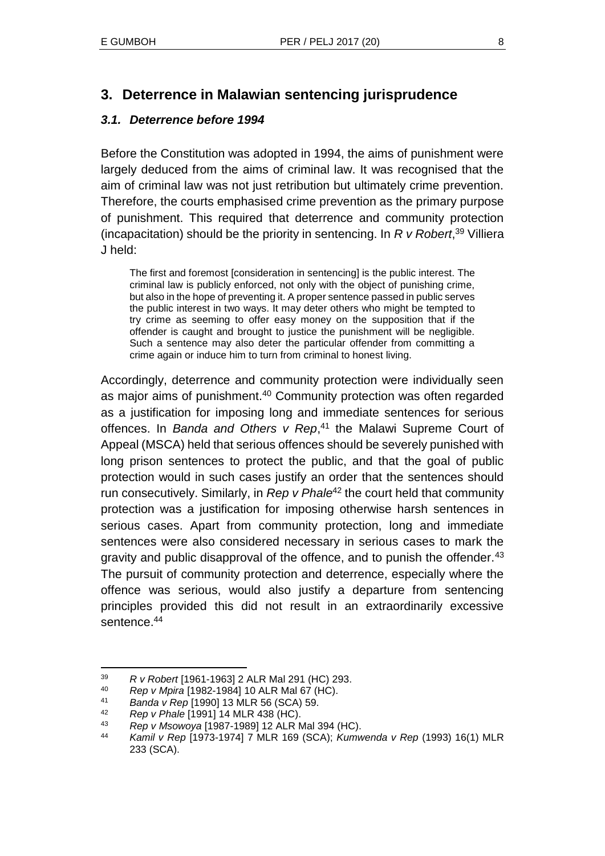### **3. Deterrence in Malawian sentencing jurisprudence**

#### *3.1. Deterrence before 1994*

Before the Constitution was adopted in 1994, the aims of punishment were largely deduced from the aims of criminal law. It was recognised that the aim of criminal law was not just retribution but ultimately crime prevention. Therefore, the courts emphasised crime prevention as the primary purpose of punishment. This required that deterrence and community protection (incapacitation) should be the priority in sentencing. In *R v Robert*, <sup>39</sup> Villiera J held:

The first and foremost [consideration in sentencing] is the public interest. The criminal law is publicly enforced, not only with the object of punishing crime, but also in the hope of preventing it. A proper sentence passed in public serves the public interest in two ways. It may deter others who might be tempted to try crime as seeming to offer easy money on the supposition that if the offender is caught and brought to justice the punishment will be negligible. Such a sentence may also deter the particular offender from committing a crime again or induce him to turn from criminal to honest living.

Accordingly, deterrence and community protection were individually seen as major aims of punishment.<sup>40</sup> Community protection was often regarded as a justification for imposing long and immediate sentences for serious offences. In *Banda and Others v Rep*, <sup>41</sup> the Malawi Supreme Court of Appeal (MSCA) held that serious offences should be severely punished with long prison sentences to protect the public, and that the goal of public protection would in such cases justify an order that the sentences should run consecutively. Similarly, in *Rep v Phale*<sup>42</sup> the court held that community protection was a justification for imposing otherwise harsh sentences in serious cases. Apart from community protection, long and immediate sentences were also considered necessary in serious cases to mark the gravity and public disapproval of the offence, and to punish the offender.<sup>43</sup> The pursuit of community protection and deterrence, especially where the offence was serious, would also justify a departure from sentencing principles provided this did not result in an extraordinarily excessive sentence.<sup>44</sup>

<sup>39</sup> *R v Robert* [1961-1963] 2 ALR Mal 291 (HC) 293.

<sup>40</sup> *Rep v Mpira* [1982-1984] 10 ALR Mal 67 (HC).

<sup>41</sup> *Banda v Rep* [1990] 13 MLR 56 (SCA) 59.

<sup>42</sup> *Rep v Phale* [1991] 14 MLR 438 (HC).

<sup>43</sup> *Rep v Msowoya* [1987-1989] 12 ALR Mal 394 (HC).

<sup>44</sup> *Kamil v Rep* [1973-1974] 7 MLR 169 (SCA); *Kumwenda v Rep* (1993) 16(1) MLR 233 (SCA).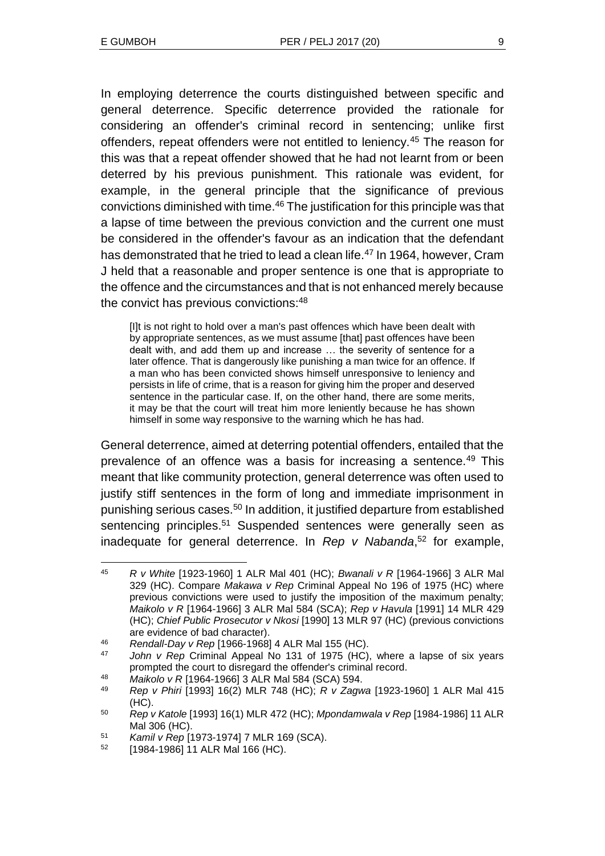In employing deterrence the courts distinguished between specific and general deterrence. Specific deterrence provided the rationale for considering an offender's criminal record in sentencing; unlike first offenders, repeat offenders were not entitled to leniency.<sup>45</sup> The reason for this was that a repeat offender showed that he had not learnt from or been deterred by his previous punishment. This rationale was evident, for example, in the general principle that the significance of previous convictions diminished with time.<sup>46</sup> The justification for this principle was that a lapse of time between the previous conviction and the current one must be considered in the offender's favour as an indication that the defendant has demonstrated that he tried to lead a clean life.<sup>47</sup> In 1964, however, Cram J held that a reasonable and proper sentence is one that is appropriate to the offence and the circumstances and that is not enhanced merely because the convict has previous convictions:<sup>48</sup>

[I]t is not right to hold over a man's past offences which have been dealt with by appropriate sentences, as we must assume [that] past offences have been dealt with, and add them up and increase … the severity of sentence for a later offence. That is dangerously like punishing a man twice for an offence. If a man who has been convicted shows himself unresponsive to leniency and persists in life of crime, that is a reason for giving him the proper and deserved sentence in the particular case. If, on the other hand, there are some merits, it may be that the court will treat him more leniently because he has shown himself in some way responsive to the warning which he has had.

General deterrence, aimed at deterring potential offenders, entailed that the prevalence of an offence was a basis for increasing a sentence.<sup>49</sup> This meant that like community protection, general deterrence was often used to justify stiff sentences in the form of long and immediate imprisonment in punishing serious cases.<sup>50</sup> In addition, it justified departure from established sentencing principles.<sup>51</sup> Suspended sentences were generally seen as inadequate for general deterrence. In *Rep v Nabanda*, <sup>52</sup> for example,

l <sup>45</sup> *R v White* [1923-1960] 1 ALR Mal 401 (HC); *Bwanali v R* [1964-1966] 3 ALR Mal 329 (HC). Compare *Makawa v Rep* Criminal Appeal No 196 of 1975 (HC) where previous convictions were used to justify the imposition of the maximum penalty; *Maikolo v R* [1964-1966] 3 ALR Mal 584 (SCA); *Rep v Havula* [1991] 14 MLR 429 (HC); *Chief Public Prosecutor v Nkosi* [1990] 13 MLR 97 (HC) (previous convictions are evidence of bad character).

<sup>46</sup> *Rendall-Day v Rep* [1966-1968] 4 ALR Mal 155 (HC).

John v Rep Criminal Appeal No 131 of 1975 (HC), where a lapse of six years prompted the court to disregard the offender's criminal record.

<sup>48</sup> *Maikolo v R* [1964-1966] 3 ALR Mal 584 (SCA) 594.

<sup>49</sup> *Rep v Phiri* [1993] 16(2) MLR 748 (HC); *R v Zagwa* [1923-1960] 1 ALR Mal 415 (HC).

<sup>50</sup> *Rep v Katole* [1993] 16(1) MLR 472 (HC); *Mpondamwala v Rep* [1984-1986] 11 ALR Mal 306 (HC).

<sup>51</sup> *Kamil v Rep* [1973-1974] 7 MLR 169 (SCA).

<sup>52</sup> [1984-1986] 11 ALR Mal 166 (HC).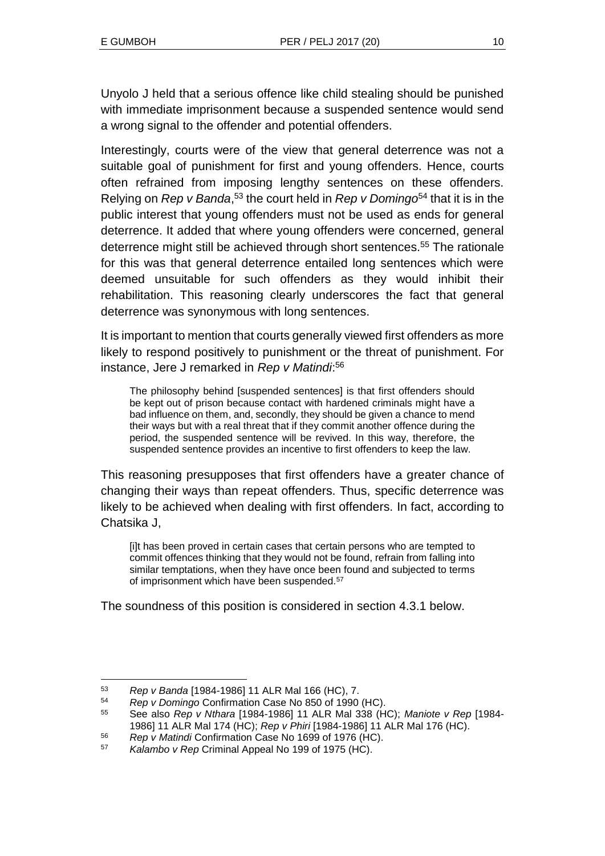Unyolo J held that a serious offence like child stealing should be punished with immediate imprisonment because a suspended sentence would send a wrong signal to the offender and potential offenders.

Interestingly, courts were of the view that general deterrence was not a suitable goal of punishment for first and young offenders. Hence, courts often refrained from imposing lengthy sentences on these offenders. Relying on *Rep v Banda*, <sup>53</sup> the court held in *Rep v Domingo*<sup>54</sup> that it is in the public interest that young offenders must not be used as ends for general deterrence. It added that where young offenders were concerned, general deterrence might still be achieved through short sentences.<sup>55</sup> The rationale for this was that general deterrence entailed long sentences which were deemed unsuitable for such offenders as they would inhibit their rehabilitation. This reasoning clearly underscores the fact that general deterrence was synonymous with long sentences.

It is important to mention that courts generally viewed first offenders as more likely to respond positively to punishment or the threat of punishment. For instance, Jere J remarked in *Rep v Matindi*: 56

The philosophy behind [suspended sentences] is that first offenders should be kept out of prison because contact with hardened criminals might have a bad influence on them, and, secondly, they should be given a chance to mend their ways but with a real threat that if they commit another offence during the period, the suspended sentence will be revived. In this way, therefore, the suspended sentence provides an incentive to first offenders to keep the law.

This reasoning presupposes that first offenders have a greater chance of changing their ways than repeat offenders. Thus, specific deterrence was likely to be achieved when dealing with first offenders. In fact, according to Chatsika J,

[i]t has been proved in certain cases that certain persons who are tempted to commit offences thinking that they would not be found, refrain from falling into similar temptations, when they have once been found and subjected to terms of imprisonment which have been suspended.<sup>57</sup>

The soundness of this position is considered in section 4.3.1 below.

<sup>53</sup> *Rep v Banda* [1984-1986] 11 ALR Mal 166 (HC), 7.

<sup>54</sup> *Rep v Domingo* Confirmation Case No 850 of 1990 (HC).

<sup>55</sup> See also *Rep v Nthara* [1984-1986] 11 ALR Mal 338 (HC); *Maniote v Rep* [1984- 1986] 11 ALR Mal 174 (HC); *Rep v Phiri* [1984-1986] 11 ALR Mal 176 (HC).

<sup>56</sup> *Rep v Matindi* Confirmation Case No 1699 of 1976 (HC).

<sup>57</sup> *Kalambo v Rep* Criminal Appeal No 199 of 1975 (HC).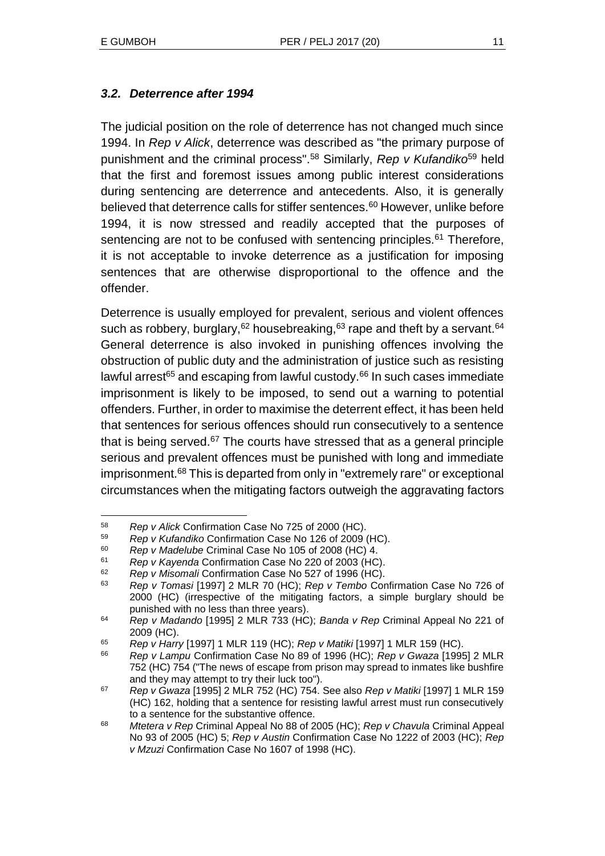#### *3.2. Deterrence after 1994*

The judicial position on the role of deterrence has not changed much since 1994. In *Rep v Alick*, deterrence was described as "the primary purpose of punishment and the criminal process".<sup>58</sup> Similarly, *Rep v Kufandiko*<sup>59</sup> held that the first and foremost issues among public interest considerations during sentencing are deterrence and antecedents. Also, it is generally believed that deterrence calls for stiffer sentences.<sup>60</sup> However, unlike before 1994, it is now stressed and readily accepted that the purposes of sentencing are not to be confused with sentencing principles.<sup>61</sup> Therefore, it is not acceptable to invoke deterrence as a justification for imposing sentences that are otherwise disproportional to the offence and the offender.

Deterrence is usually employed for prevalent, serious and violent offences such as robbery, burglary,  $62$  housebreaking,  $63$  rape and theft by a servant.  $64$ General deterrence is also invoked in punishing offences involving the obstruction of public duty and the administration of justice such as resisting lawful arrest<sup>65</sup> and escaping from lawful custody.<sup>66</sup> In such cases immediate imprisonment is likely to be imposed, to send out a warning to potential offenders. Further, in order to maximise the deterrent effect, it has been held that sentences for serious offences should run consecutively to a sentence that is being served. $67$  The courts have stressed that as a general principle serious and prevalent offences must be punished with long and immediate imprisonment.<sup>68</sup> This is departed from only in "extremely rare" or exceptional circumstances when the mitigating factors outweigh the aggravating factors

l <sup>58</sup> *Rep v Alick* Confirmation Case No 725 of 2000 (HC).

<sup>59</sup> *Rep v Kufandiko* Confirmation Case No 126 of 2009 (HC).

<sup>60</sup> *Rep v Madelube* Criminal Case No 105 of 2008 (HC) 4.

<sup>61</sup> *Rep v Kayenda* Confirmation Case No 220 of 2003 (HC).

<sup>62</sup> *Rep v Misomali* Confirmation Case No 527 of 1996 (HC).

<sup>63</sup> *Rep v Tomasi* [1997] 2 MLR 70 (HC); *Rep v Tembo* Confirmation Case No 726 of 2000 (HC) (irrespective of the mitigating factors, a simple burglary should be punished with no less than three years).

<sup>64</sup> *Rep v Madando* [1995] 2 MLR 733 (HC); *Banda v Rep* Criminal Appeal No 221 of 2009 (HC).

<sup>65</sup> *Rep v Harry* [1997] 1 MLR 119 (HC); *Rep v Matiki* [1997] 1 MLR 159 (HC).

<sup>66</sup> *Rep v Lampu* Confirmation Case No 89 of 1996 (HC); *Rep v Gwaza* [1995] 2 MLR 752 (HC) 754 ("The news of escape from prison may spread to inmates like bushfire and they may attempt to try their luck too").

<sup>67</sup> *Rep v Gwaza* [1995] 2 MLR 752 (HC) 754. See also *Rep v Matiki* [1997] 1 MLR 159 (HC) 162, holding that a sentence for resisting lawful arrest must run consecutively to a sentence for the substantive offence.

<sup>68</sup> *Mtetera v Rep* Criminal Appeal No 88 of 2005 (HC); *Rep v Chavula* Criminal Appeal No 93 of 2005 (HC) 5; *Rep v Austin* Confirmation Case No 1222 of 2003 (HC); *Rep v Mzuzi* Confirmation Case No 1607 of 1998 (HC).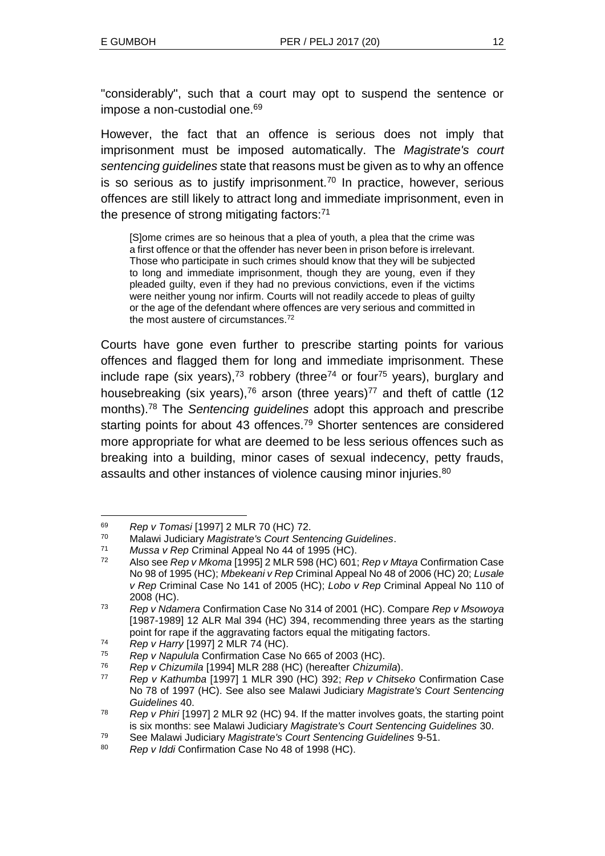"considerably", such that a court may opt to suspend the sentence or impose a non-custodial one.<sup>69</sup>

However, the fact that an offence is serious does not imply that imprisonment must be imposed automatically. The *Magistrate's court sentencing guidelines* state that reasons must be given as to why an offence is so serious as to justify imprisonment.<sup>70</sup> In practice, however, serious offences are still likely to attract long and immediate imprisonment, even in the presence of strong mitigating factors:<sup>71</sup>

[S]ome crimes are so heinous that a plea of youth, a plea that the crime was a first offence or that the offender has never been in prison before is irrelevant. Those who participate in such crimes should know that they will be subjected to long and immediate imprisonment, though they are young, even if they pleaded guilty, even if they had no previous convictions, even if the victims were neither young nor infirm. Courts will not readily accede to pleas of guilty or the age of the defendant where offences are very serious and committed in the most austere of circumstances.<sup>72</sup>

Courts have gone even further to prescribe starting points for various offences and flagged them for long and immediate imprisonment. These include rape (six years),<sup>73</sup> robbery (three<sup>74</sup> or four<sup>75</sup> years), burglary and housebreaking (six years),<sup>76</sup> arson (three years)<sup>77</sup> and theft of cattle (12 months).<sup>78</sup> The *Sentencing guidelines* adopt this approach and prescribe starting points for about 43 offences.<sup>79</sup> Shorter sentences are considered more appropriate for what are deemed to be less serious offences such as breaking into a building, minor cases of sexual indecency, petty frauds, assaults and other instances of violence causing minor injuries.<sup>80</sup>

l <sup>69</sup> *Rep v Tomasi* [1997] 2 MLR 70 (HC) 72.

<sup>70</sup> Malawi Judiciary *Magistrate's Court Sentencing Guidelines*.

<sup>71</sup> *Mussa v Rep* Criminal Appeal No 44 of 1995 (HC).

<sup>72</sup> Also see *Rep v Mkoma* [1995] 2 MLR 598 (HC) 601; *Rep v Mtaya* Confirmation Case No 98 of 1995 (HC); *Mbekeani v Rep* Criminal Appeal No 48 of 2006 (HC) 20; *Lusale v Rep* Criminal Case No 141 of 2005 (HC); *Lobo v Rep* Criminal Appeal No 110 of 2008 (HC).

<sup>73</sup> *Rep v Ndamera* Confirmation Case No 314 of 2001 (HC). Compare *Rep v Msowoya* [1987-1989] 12 ALR Mal 394 (HC) 394, recommending three years as the starting point for rape if the aggravating factors equal the mitigating factors.

<sup>74</sup> *Rep v Harry* [1997] 2 MLR 74 (HC).

<sup>75</sup> *Rep v Napulula* Confirmation Case No 665 of 2003 (HC).

<sup>76</sup> *Rep v Chizumila* [1994] MLR 288 (HC) (hereafter *Chizumila*).

<sup>77</sup> *Rep v Kathumba* [1997] 1 MLR 390 (HC) 392; *Rep v Chitseko* Confirmation Case No 78 of 1997 (HC). See also see Malawi Judiciary *Magistrate's Court Sentencing Guidelines* 40.

<sup>78</sup> *Rep v Phiri* [1997] 2 MLR 92 (HC) 94. If the matter involves goats, the starting point is six months: see Malawi Judiciary *Magistrate's Court Sentencing Guidelines* 30.

<sup>79</sup> See Malawi Judiciary *Magistrate's Court Sentencing Guidelines* 9-51.

<sup>80</sup> *Rep v Iddi* Confirmation Case No 48 of 1998 (HC).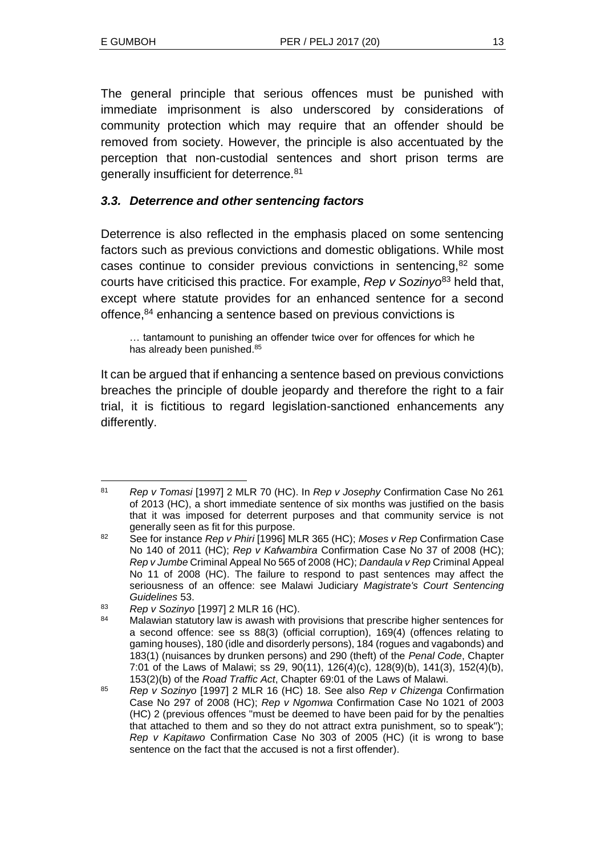The general principle that serious offences must be punished with immediate imprisonment is also underscored by considerations of community protection which may require that an offender should be removed from society. However, the principle is also accentuated by the perception that non-custodial sentences and short prison terms are generally insufficient for deterrence.<sup>81</sup>

#### *3.3. Deterrence and other sentencing factors*

Deterrence is also reflected in the emphasis placed on some sentencing factors such as previous convictions and domestic obligations. While most cases continue to consider previous convictions in sentencing,<sup>82</sup> some courts have criticised this practice. For example, *Rep v Sozinyo*<sup>83</sup> held that, except where statute provides for an enhanced sentence for a second offence,<sup>84</sup> enhancing a sentence based on previous convictions is

… tantamount to punishing an offender twice over for offences for which he has already been punished.<sup>85</sup>

It can be argued that if enhancing a sentence based on previous convictions breaches the principle of double jeopardy and therefore the right to a fair trial, it is fictitious to regard legislation-sanctioned enhancements any differently.

l <sup>81</sup> *Rep v Tomasi* [1997] 2 MLR 70 (HC). In *Rep v Josephy* Confirmation Case No 261 of 2013 (HC), a short immediate sentence of six months was justified on the basis that it was imposed for deterrent purposes and that community service is not generally seen as fit for this purpose.

<sup>82</sup> See for instance *Rep v Phiri* [1996] MLR 365 (HC); *Moses v Rep* Confirmation Case No 140 of 2011 (HC); *Rep v Kafwambira* Confirmation Case No 37 of 2008 (HC); *Rep v Jumbe* Criminal Appeal No 565 of 2008 (HC); *Dandaula v Rep* Criminal Appeal No 11 of 2008 (HC). The failure to respond to past sentences may affect the seriousness of an offence: see Malawi Judiciary *Magistrate's Court Sentencing Guidelines* 53.

<sup>83</sup> *Rep v Sozinyo* [1997] 2 MLR 16 (HC).

<sup>84</sup> Malawian statutory law is awash with provisions that prescribe higher sentences for a second offence: see ss 88(3) (official corruption), 169(4) (offences relating to gaming houses), 180 (idle and disorderly persons), 184 (rogues and vagabonds) and 183(1) (nuisances by drunken persons) and 290 (theft) of the *Penal Code*, Chapter 7:01 of the Laws of Malawi; ss 29, 90(11), 126(4)(c), 128(9)(b), 141(3), 152(4)(b), 153(2)(b) of the *Road Traffic Act*, Chapter 69:01 of the Laws of Malawi.

<sup>85</sup> *Rep v Sozinyo* [1997] 2 MLR 16 (HC) 18. See also *Rep v Chizenga* Confirmation Case No 297 of 2008 (HC); *Rep v Ngomwa* Confirmation Case No 1021 of 2003 (HC) 2 (previous offences "must be deemed to have been paid for by the penalties that attached to them and so they do not attract extra punishment, so to speak"); *Rep v Kapitawo* Confirmation Case No 303 of 2005 (HC) (it is wrong to base sentence on the fact that the accused is not a first offender).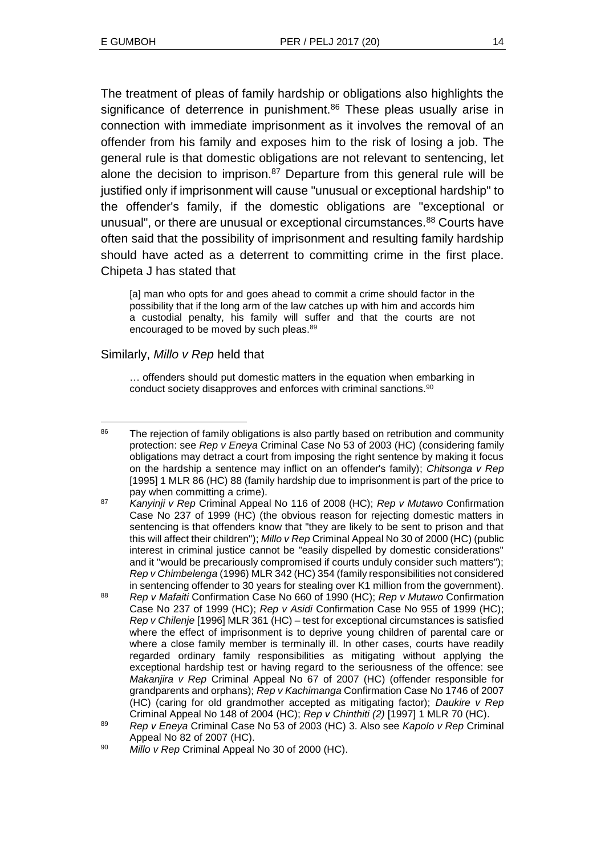The treatment of pleas of family hardship or obligations also highlights the significance of deterrence in punishment. $86$  These pleas usually arise in connection with immediate imprisonment as it involves the removal of an offender from his family and exposes him to the risk of losing a job. The general rule is that domestic obligations are not relevant to sentencing, let alone the decision to imprison. $87$  Departure from this general rule will be iustified only if imprisonment will cause "unusual or exceptional hardship" to the offender's family, if the domestic obligations are "exceptional or unusual", or there are unusual or exceptional circumstances.<sup>88</sup> Courts have often said that the possibility of imprisonment and resulting family hardship should have acted as a deterrent to committing crime in the first place. Chipeta J has stated that

[a] man who opts for and goes ahead to commit a crime should factor in the possibility that if the long arm of the law catches up with him and accords him a custodial penalty, his family will suffer and that the courts are not encouraged to be moved by such pleas.<sup>89</sup>

Similarly, *Millo v Rep* held that

… offenders should put domestic matters in the equation when embarking in conduct society disapproves and enforces with criminal sanctions.<sup>90</sup>

l 86 The rejection of family obligations is also partly based on retribution and community protection: see *Rep v Eneya* Criminal Case No 53 of 2003 (HC) (considering family obligations may detract a court from imposing the right sentence by making it focus on the hardship a sentence may inflict on an offender's family); *Chitsonga v Rep* [1995] 1 MLR 86 (HC) 88 (family hardship due to imprisonment is part of the price to pay when committing a crime).

<sup>87</sup> *Kanyinji v Rep* Criminal Appeal No 116 of 2008 (HC); *Rep v Mutawo* Confirmation Case No 237 of 1999 (HC) (the obvious reason for rejecting domestic matters in sentencing is that offenders know that "they are likely to be sent to prison and that this will affect their children"); *Millo v Rep* Criminal Appeal No 30 of 2000 (HC) (public interest in criminal justice cannot be "easily dispelled by domestic considerations" and it "would be precariously compromised if courts unduly consider such matters"); *Rep v Chimbelenga* (1996) MLR 342 (HC) 354 (family responsibilities not considered in sentencing offender to 30 years for stealing over K1 million from the government).

<sup>88</sup> *Rep v Mafaiti* Confirmation Case No 660 of 1990 (HC); *Rep v Mutawo* Confirmation Case No 237 of 1999 (HC); *Rep v Asidi* Confirmation Case No 955 of 1999 (HC); *Rep v Chilenje* [1996] MLR 361 (HC) – test for exceptional circumstances is satisfied where the effect of imprisonment is to deprive young children of parental care or where a close family member is terminally ill. In other cases, courts have readily regarded ordinary family responsibilities as mitigating without applying the exceptional hardship test or having regard to the seriousness of the offence: see *Makanjira v Rep* Criminal Appeal No 67 of 2007 (HC) (offender responsible for grandparents and orphans); *Rep v Kachimanga* Confirmation Case No 1746 of 2007 (HC) (caring for old grandmother accepted as mitigating factor); *Daukire v Rep*  Criminal Appeal No 148 of 2004 (HC); *Rep v Chinthiti (2)* [1997] 1 MLR 70 (HC).

<sup>89</sup> *Rep v Eneya* Criminal Case No 53 of 2003 (HC) 3. Also see *Kapolo v Rep* Criminal Appeal No 82 of 2007 (HC).

<sup>90</sup> *Millo v Rep* Criminal Appeal No 30 of 2000 (HC).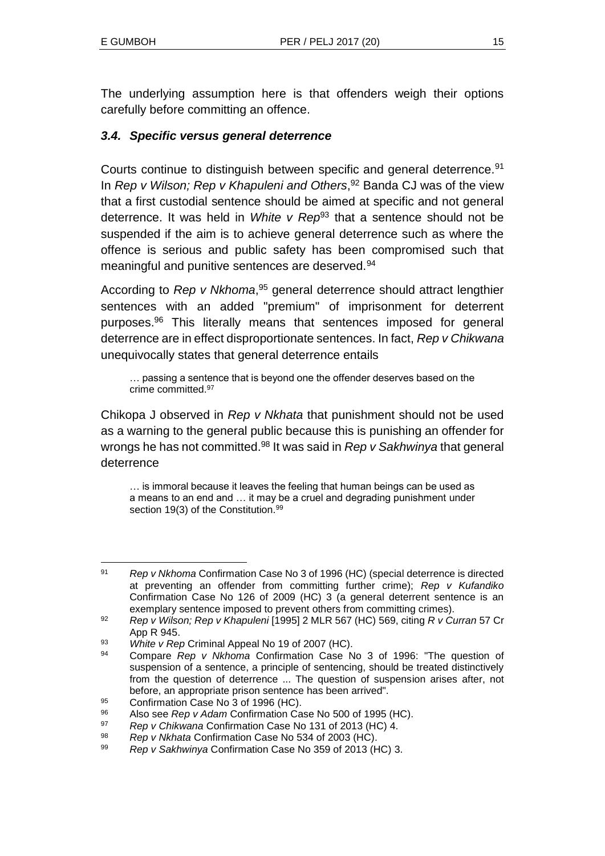The underlying assumption here is that offenders weigh their options carefully before committing an offence.

### *3.4. Specific versus general deterrence*

Courts continue to distinguish between specific and general deterrence.<sup>91</sup> In *Rep v Wilson; Rep v Khapuleni and Others*, <sup>92</sup> Banda CJ was of the view that a first custodial sentence should be aimed at specific and not general deterrence. It was held in *White v Rep*<sup>93</sup> that a sentence should not be suspended if the aim is to achieve general deterrence such as where the offence is serious and public safety has been compromised such that meaningful and punitive sentences are deserved.<sup>94</sup>

According to *Rep v Nkhoma*, <sup>95</sup> general deterrence should attract lengthier sentences with an added "premium" of imprisonment for deterrent purposes.<sup>96</sup> This literally means that sentences imposed for general deterrence are in effect disproportionate sentences. In fact, *Rep v Chikwana* unequivocally states that general deterrence entails

… passing a sentence that is beyond one the offender deserves based on the crime committed.<sup>97</sup>

Chikopa J observed in *Rep v Nkhata* that punishment should not be used as a warning to the general public because this is punishing an offender for wrongs he has not committed.<sup>98</sup> It was said in *Rep v Sakhwinya* that general deterrence

… is immoral because it leaves the feeling that human beings can be used as a means to an end and … it may be a cruel and degrading punishment under section 19(3) of the Constitution.<sup>99</sup>

l <sup>91</sup> *Rep v Nkhoma* Confirmation Case No 3 of 1996 (HC) (special deterrence is directed at preventing an offender from committing further crime); *Rep v Kufandiko* Confirmation Case No 126 of 2009 (HC) 3 (a general deterrent sentence is an exemplary sentence imposed to prevent others from committing crimes).

<sup>92</sup> *Rep v Wilson; Rep v Khapuleni* [1995] 2 MLR 567 (HC) 569, citing *R v Curran* 57 Cr App R 945.

<sup>93</sup> *White v Rep* Criminal Appeal No 19 of 2007 (HC).

<sup>94</sup> Compare *Rep v Nkhoma* Confirmation Case No 3 of 1996: "The question of suspension of a sentence, a principle of sentencing, should be treated distinctively from the question of deterrence ... The question of suspension arises after, not before, an appropriate prison sentence has been arrived".

<sup>95</sup> Confirmation Case No 3 of 1996 (HC).

<sup>96</sup> Also see *Rep v Adam* Confirmation Case No 500 of 1995 (HC).

<sup>97</sup> *Rep v Chikwana* Confirmation Case No 131 of 2013 (HC) 4.

<sup>98</sup> *Rep v Nkhata* Confirmation Case No 534 of 2003 (HC).

<sup>99</sup> *Rep v Sakhwinya* Confirmation Case No 359 of 2013 (HC) 3.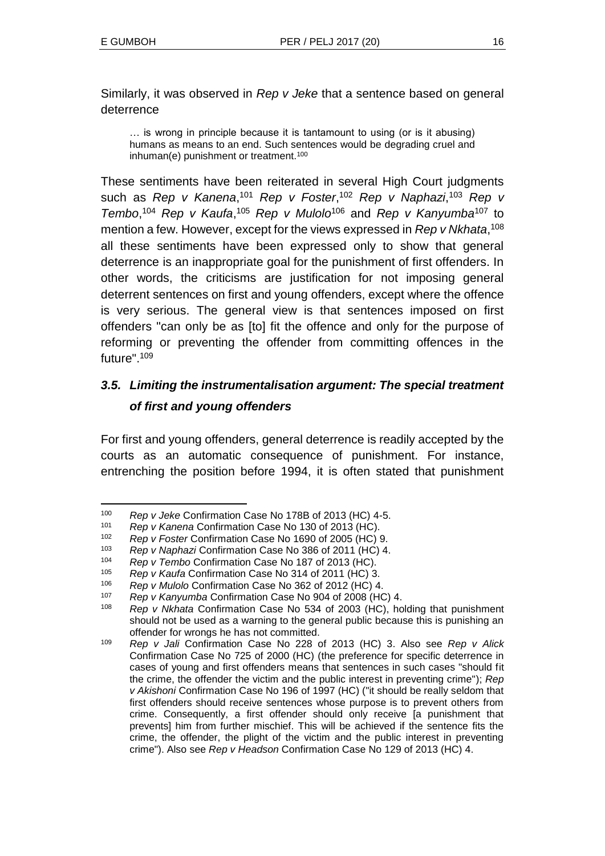Similarly, it was observed in *Rep v Jeke* that a sentence based on general deterrence

… is wrong in principle because it is tantamount to using (or is it abusing) humans as means to an end. Such sentences would be degrading cruel and inhuman(e) punishment or treatment.<sup>100</sup>

These sentiments have been reiterated in several High Court judgments such as *Rep v Kanena*, <sup>101</sup> *Rep v Foster*, <sup>102</sup> *Rep v Naphazi*, <sup>103</sup> *Rep v Tembo*, <sup>104</sup> *Rep v Kaufa*, <sup>105</sup> *Rep v Mulolo*<sup>106</sup> and *Rep v Kanyumba*<sup>107</sup> to mention a few. However, except for the views expressed in *Rep v Nkhata*, 108 all these sentiments have been expressed only to show that general deterrence is an inappropriate goal for the punishment of first offenders. In other words, the criticisms are justification for not imposing general deterrent sentences on first and young offenders, except where the offence is very serious. The general view is that sentences imposed on first offenders "can only be as [to] fit the offence and only for the purpose of reforming or preventing the offender from committing offences in the future". 109

## *3.5. Limiting the instrumentalisation argument: The special treatment of first and young offenders*

For first and young offenders, general deterrence is readily accepted by the courts as an automatic consequence of punishment. For instance, entrenching the position before 1994, it is often stated that punishment

l <sup>100</sup> *Rep v Jeke* Confirmation Case No 178B of 2013 (HC) 4-5.

<sup>101</sup> *Rep v Kanena* Confirmation Case No 130 of 2013 (HC).

<sup>102</sup> *Rep v Foster* Confirmation Case No 1690 of 2005 (HC) 9.

<sup>103</sup> *Rep v Naphazi* Confirmation Case No 386 of 2011 (HC) 4.

<sup>104</sup> *Rep v Tembo* Confirmation Case No 187 of 2013 (HC).

<sup>105</sup> *Rep v Kaufa* Confirmation Case No 314 of 2011 (HC) 3.

<sup>106</sup> *Rep v Mulolo* Confirmation Case No 362 of 2012 (HC) 4.

<sup>107</sup> *Rep v Kanyumba* Confirmation Case No 904 of 2008 (HC) 4.

<sup>108</sup> *Rep v Nkhata* Confirmation Case No 534 of 2003 (HC), holding that punishment should not be used as a warning to the general public because this is punishing an offender for wrongs he has not committed.

<sup>109</sup> *Rep v Jali* Confirmation Case No 228 of 2013 (HC) 3. Also see *Rep v Alick* Confirmation Case No 725 of 2000 (HC) (the preference for specific deterrence in cases of young and first offenders means that sentences in such cases "should fit the crime, the offender the victim and the public interest in preventing crime"); *Rep v Akishoni* Confirmation Case No 196 of 1997 (HC) ("it should be really seldom that first offenders should receive sentences whose purpose is to prevent others from crime. Consequently, a first offender should only receive [a punishment that prevents] him from further mischief. This will be achieved if the sentence fits the crime, the offender, the plight of the victim and the public interest in preventing crime"). Also see *Rep v Headson* Confirmation Case No 129 of 2013 (HC) 4.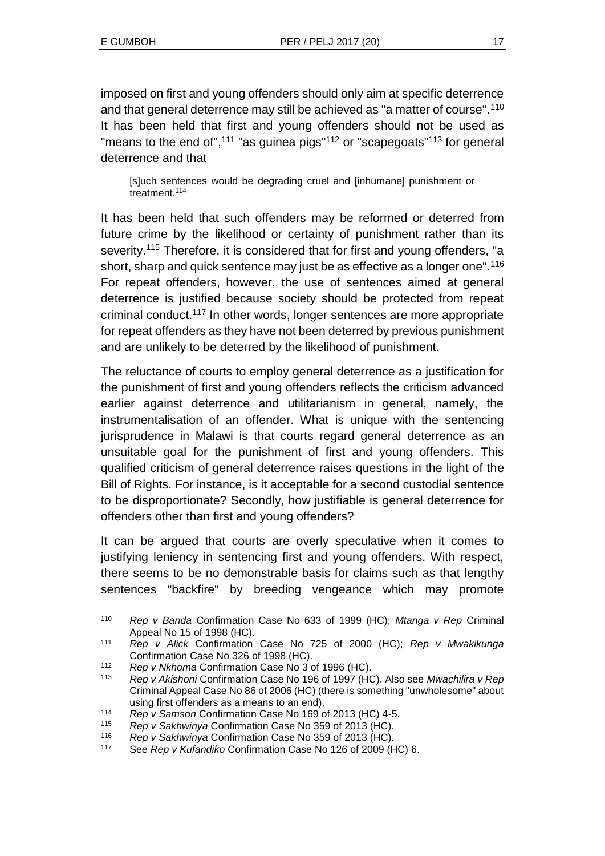$\overline{a}$ 

imposed on first and young offenders should only aim at specific deterrence and that general deterrence may still be achieved as "a matter of course".<sup>110</sup> It has been held that first and young offenders should not be used as "means to the end of",<sup>111</sup> "as guinea pigs"<sup>112</sup> or "scapegoats"<sup>113</sup> for general deterrence and that

[s]uch sentences would be degrading cruel and [inhumane] punishment or treatment.<sup>114</sup>

It has been held that such offenders may be reformed or deterred from future crime by the likelihood or certainty of punishment rather than its severity.<sup>115</sup> Therefore, it is considered that for first and young offenders, "a short, sharp and quick sentence may just be as effective as a longer one".<sup>116</sup> For repeat offenders, however, the use of sentences aimed at general deterrence is justified because society should be protected from repeat criminal conduct.<sup>117</sup> In other words, longer sentences are more appropriate for repeat offenders as they have not been deterred by previous punishment and are unlikely to be deterred by the likelihood of punishment.

The reluctance of courts to employ general deterrence as a justification for the punishment of first and young offenders reflects the criticism advanced earlier against deterrence and utilitarianism in general, namely, the instrumentalisation of an offender. What is unique with the sentencing jurisprudence in Malawi is that courts regard general deterrence as an unsuitable goal for the punishment of first and young offenders. This qualified criticism of general deterrence raises questions in the light of the Bill of Rights. For instance, is it acceptable for a second custodial sentence to be disproportionate? Secondly, how justifiable is general deterrence for offenders other than first and young offenders?

It can be argued that courts are overly speculative when it comes to justifying leniency in sentencing first and young offenders. With respect, there seems to be no demonstrable basis for claims such as that lengthy sentences "backfire" by breeding vengeance which may promote

<sup>110</sup> *Rep v Banda* Confirmation Case No 633 of 1999 (HC); *Mtanga v Rep* Criminal Appeal No 15 of 1998 (HC).

<sup>111</sup> *Rep v Alick* Confirmation Case No 725 of 2000 (HC); *Rep v Mwakikunga* Confirmation Case No 326 of 1998 (HC).

<sup>112</sup> *Rep v Nkhoma* Confirmation Case No 3 of 1996 (HC).

<sup>113</sup> *Rep v Akishoni* Confirmation Case No 196 of 1997 (HC). Also see *Mwachilira v Rep*  Criminal Appeal Case No 86 of 2006 (HC) (there is something "unwholesome" about using first offenders as a means to an end).

<sup>114</sup> *Rep v Samson* Confirmation Case No 169 of 2013 (HC) 4-5.

<sup>115</sup> *Rep v Sakhwinya* Confirmation Case No 359 of 2013 (HC).

<sup>116</sup> *Rep v Sakhwinya* Confirmation Case No 359 of 2013 (HC).

<sup>117</sup> See *Rep v Kufandiko* Confirmation Case No 126 of 2009 (HC) 6.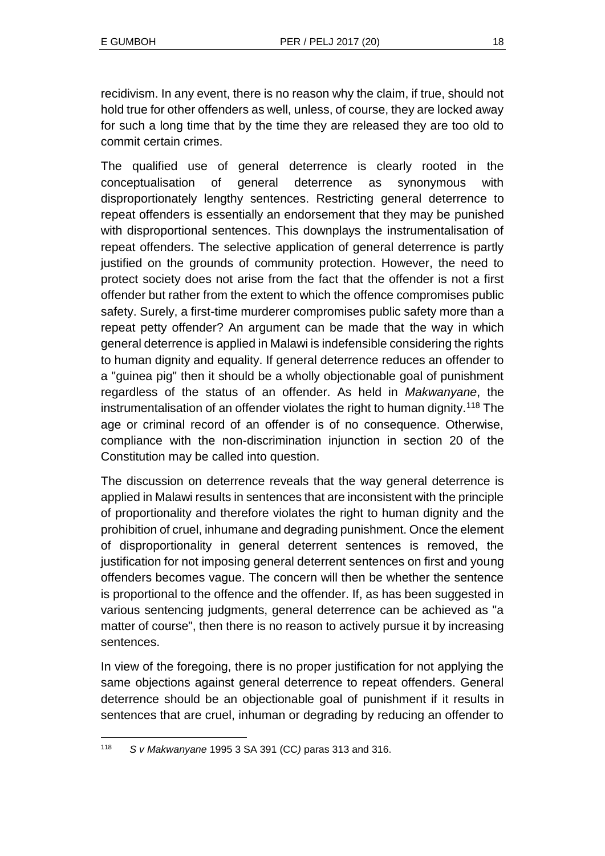recidivism. In any event, there is no reason why the claim, if true, should not hold true for other offenders as well, unless, of course, they are locked away for such a long time that by the time they are released they are too old to commit certain crimes.

The qualified use of general deterrence is clearly rooted in the conceptualisation of general deterrence as synonymous with disproportionately lengthy sentences. Restricting general deterrence to repeat offenders is essentially an endorsement that they may be punished with disproportional sentences. This downplays the instrumentalisation of repeat offenders. The selective application of general deterrence is partly justified on the grounds of community protection. However, the need to protect society does not arise from the fact that the offender is not a first offender but rather from the extent to which the offence compromises public safety. Surely, a first-time murderer compromises public safety more than a repeat petty offender? An argument can be made that the way in which general deterrence is applied in Malawi is indefensible considering the rights to human dignity and equality. If general deterrence reduces an offender to a "guinea pig" then it should be a wholly objectionable goal of punishment regardless of the status of an offender. As held in *Makwanyane*, the instrumentalisation of an offender violates the right to human dignity.<sup>118</sup> The age or criminal record of an offender is of no consequence. Otherwise, compliance with the non-discrimination injunction in section 20 of the Constitution may be called into question.

The discussion on deterrence reveals that the way general deterrence is applied in Malawi results in sentences that are inconsistent with the principle of proportionality and therefore violates the right to human dignity and the prohibition of cruel, inhumane and degrading punishment. Once the element of disproportionality in general deterrent sentences is removed, the justification for not imposing general deterrent sentences on first and young offenders becomes vague. The concern will then be whether the sentence is proportional to the offence and the offender. If, as has been suggested in various sentencing judgments, general deterrence can be achieved as "a matter of course", then there is no reason to actively pursue it by increasing sentences.

In view of the foregoing, there is no proper justification for not applying the same objections against general deterrence to repeat offenders. General deterrence should be an objectionable goal of punishment if it results in sentences that are cruel, inhuman or degrading by reducing an offender to

<sup>118</sup> *S v Makwanyane* 1995 3 SA 391 (CC*)* paras 313 and 316.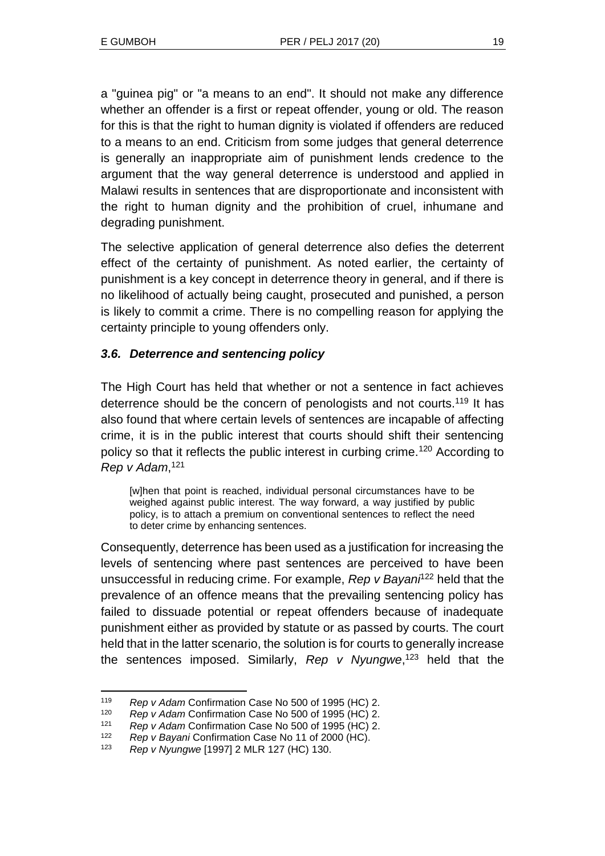a "guinea pig" or "a means to an end". It should not make any difference whether an offender is a first or repeat offender, young or old. The reason for this is that the right to human dignity is violated if offenders are reduced to a means to an end. Criticism from some judges that general deterrence is generally an inappropriate aim of punishment lends credence to the argument that the way general deterrence is understood and applied in Malawi results in sentences that are disproportionate and inconsistent with the right to human dignity and the prohibition of cruel, inhumane and degrading punishment.

The selective application of general deterrence also defies the deterrent effect of the certainty of punishment. As noted earlier, the certainty of punishment is a key concept in deterrence theory in general, and if there is no likelihood of actually being caught, prosecuted and punished, a person is likely to commit a crime. There is no compelling reason for applying the certainty principle to young offenders only.

#### *3.6. Deterrence and sentencing policy*

The High Court has held that whether or not a sentence in fact achieves deterrence should be the concern of penologists and not courts.<sup>119</sup> It has also found that where certain levels of sentences are incapable of affecting crime, it is in the public interest that courts should shift their sentencing policy so that it reflects the public interest in curbing crime.<sup>120</sup> According to *Rep v Adam*, 121

[w]hen that point is reached, individual personal circumstances have to be weighed against public interest. The way forward, a way justified by public policy, is to attach a premium on conventional sentences to reflect the need to deter crime by enhancing sentences.

Consequently, deterrence has been used as a justification for increasing the levels of sentencing where past sentences are perceived to have been unsuccessful in reducing crime. For example, *Rep v Bayani*<sup>122</sup> held that the prevalence of an offence means that the prevailing sentencing policy has failed to dissuade potential or repeat offenders because of inadequate punishment either as provided by statute or as passed by courts. The court held that in the latter scenario, the solution is for courts to generally increase the sentences imposed. Similarly, *Rep v Nyungwe*, <sup>123</sup> held that the

l <sup>119</sup> *Rep v Adam* Confirmation Case No 500 of 1995 (HC) 2.

<sup>120</sup> *Rep v Adam* Confirmation Case No 500 of 1995 (HC) 2.

<sup>121</sup> *Rep v Adam* Confirmation Case No 500 of 1995 (HC) 2.

<sup>122</sup> *Rep v Bayani* Confirmation Case No 11 of 2000 (HC).

<sup>123</sup> *Rep v Nyungwe* [1997] 2 MLR 127 (HC) 130.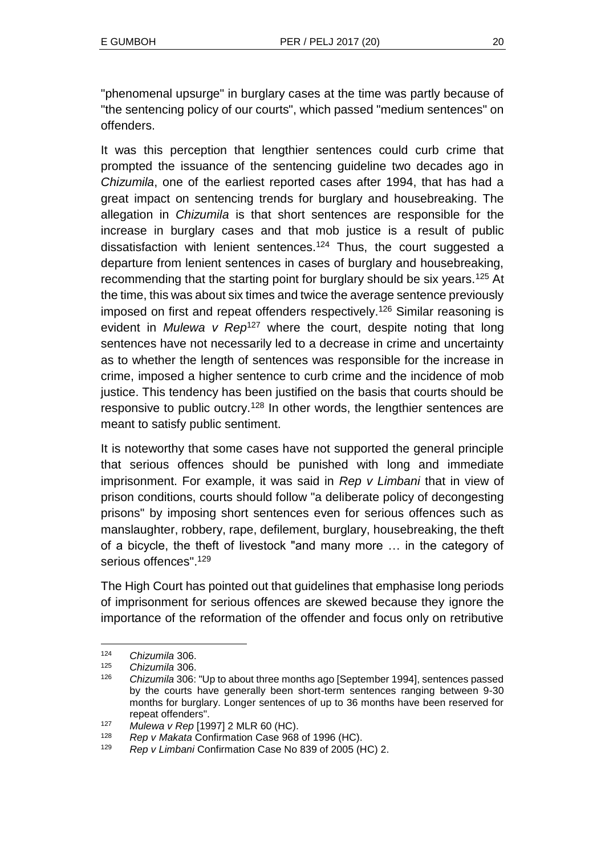"phenomenal upsurge" in burglary cases at the time was partly because of "the sentencing policy of our courts", which passed "medium sentences" on offenders.

It was this perception that lengthier sentences could curb crime that prompted the issuance of the sentencing guideline two decades ago in *Chizumila*, one of the earliest reported cases after 1994, that has had a great impact on sentencing trends for burglary and housebreaking. The allegation in *Chizumila* is that short sentences are responsible for the increase in burglary cases and that mob justice is a result of public dissatisfaction with lenient sentences.<sup>124</sup> Thus, the court suggested a departure from lenient sentences in cases of burglary and housebreaking, recommending that the starting point for burglary should be six years.<sup>125</sup> At the time, this was about six times and twice the average sentence previously imposed on first and repeat offenders respectively.<sup>126</sup> Similar reasoning is evident in *Mulewa v Rep*<sup>127</sup> where the court, despite noting that long sentences have not necessarily led to a decrease in crime and uncertainty as to whether the length of sentences was responsible for the increase in crime, imposed a higher sentence to curb crime and the incidence of mob justice. This tendency has been justified on the basis that courts should be responsive to public outcry.<sup>128</sup> In other words, the lengthier sentences are meant to satisfy public sentiment.

It is noteworthy that some cases have not supported the general principle that serious offences should be punished with long and immediate imprisonment. For example, it was said in *Rep v Limbani* that in view of prison conditions, courts should follow "a deliberate policy of decongesting prisons" by imposing short sentences even for serious offences such as manslaughter, robbery, rape, defilement, burglary, housebreaking, the theft of a bicycle, the theft of livestock "and many more … in the category of serious offences".<sup>129</sup>

The High Court has pointed out that guidelines that emphasise long periods of imprisonment for serious offences are skewed because they ignore the importance of the reformation of the offender and focus only on retributive

<sup>124</sup> *Chizumila* 306.

<sup>125</sup> *Chizumila* 306.

<sup>126</sup> *Chizumila* 306: "Up to about three months ago [September 1994], sentences passed by the courts have generally been short-term sentences ranging between 9-30 months for burglary. Longer sentences of up to 36 months have been reserved for repeat offenders".

<sup>127</sup> *Mulewa v Rep* [1997] 2 MLR 60 (HC).<br>128 *Rep v Makata* Confirmation Case 968

<sup>128</sup> *Rep v Makata* Confirmation Case 968 of 1996 (HC).

<sup>129</sup> *Rep v Limbani* Confirmation Case No 839 of 2005 (HC) 2.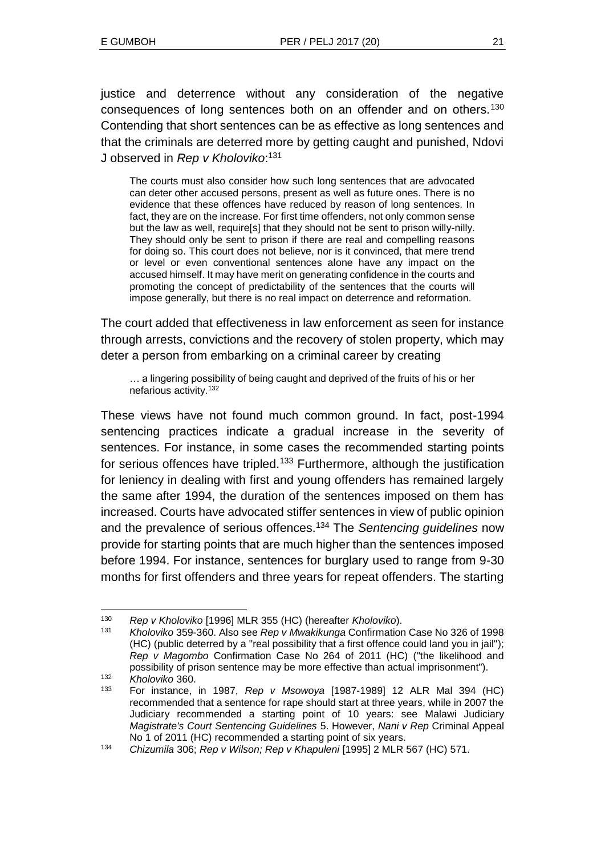justice and deterrence without any consideration of the negative consequences of long sentences both on an offender and on others.<sup>130</sup> Contending that short sentences can be as effective as long sentences and that the criminals are deterred more by getting caught and punished, Ndovi J observed in *Rep v Kholoviko*: 131

The courts must also consider how such long sentences that are advocated can deter other accused persons, present as well as future ones. There is no evidence that these offences have reduced by reason of long sentences. In fact, they are on the increase. For first time offenders, not only common sense but the law as well, require[s] that they should not be sent to prison willy-nilly. They should only be sent to prison if there are real and compelling reasons for doing so. This court does not believe, nor is it convinced, that mere trend or level or even conventional sentences alone have any impact on the accused himself. It may have merit on generating confidence in the courts and promoting the concept of predictability of the sentences that the courts will impose generally, but there is no real impact on deterrence and reformation.

The court added that effectiveness in law enforcement as seen for instance through arrests, convictions and the recovery of stolen property, which may deter a person from embarking on a criminal career by creating

… a lingering possibility of being caught and deprived of the fruits of his or her nefarious activity.<sup>132</sup>

These views have not found much common ground. In fact, post-1994 sentencing practices indicate a gradual increase in the severity of sentences. For instance, in some cases the recommended starting points for serious offences have tripled.<sup>133</sup> Furthermore, although the justification for leniency in dealing with first and young offenders has remained largely the same after 1994, the duration of the sentences imposed on them has increased. Courts have advocated stiffer sentences in view of public opinion and the prevalence of serious offences.<sup>134</sup> The *Sentencing guidelines* now provide for starting points that are much higher than the sentences imposed before 1994. For instance, sentences for burglary used to range from 9-30 months for first offenders and three years for repeat offenders. The starting

 $\overline{a}$ <sup>130</sup> *Rep v Kholoviko* [1996] MLR 355 (HC) (hereafter *Kholoviko*).

<sup>131</sup> *Kholoviko* 359-360. Also see *Rep v Mwakikunga* Confirmation Case No 326 of 1998 (HC) (public deterred by a "real possibility that a first offence could land you in jail"); *Rep v Magombo* Confirmation Case No 264 of 2011 (HC) ("the likelihood and possibility of prison sentence may be more effective than actual imprisonment").

<sup>132</sup> *Kholoviko* 360.

<sup>133</sup> For instance, in 1987, *Rep v Msowoya* [1987-1989] 12 ALR Mal 394 (HC) recommended that a sentence for rape should start at three years, while in 2007 the Judiciary recommended a starting point of 10 years: see Malawi Judiciary *Magistrate's Court Sentencing Guidelines* 5. However, *Nani v Rep* Criminal Appeal No 1 of 2011 (HC) recommended a starting point of six years.

<sup>134</sup> *Chizumila* 306; *Rep v Wilson; Rep v Khapuleni* [1995] 2 MLR 567 (HC) 571.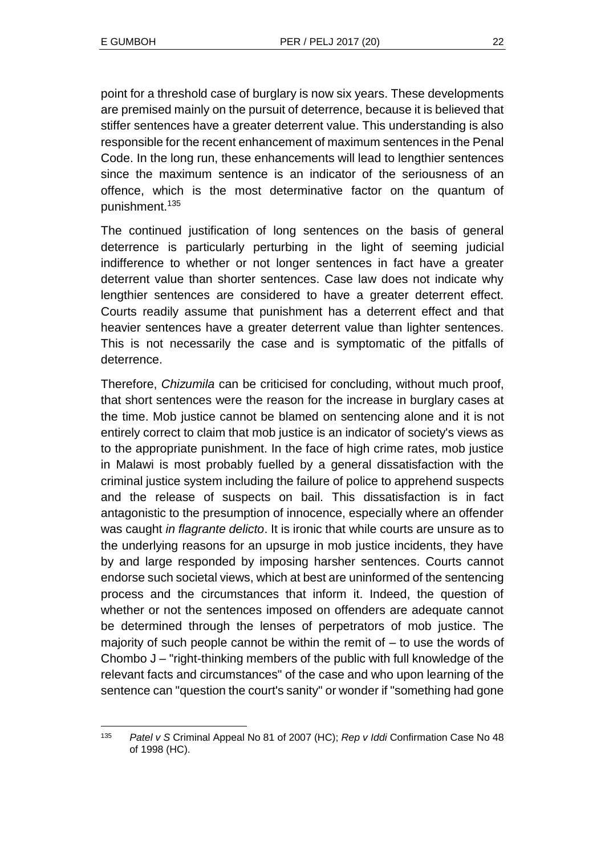l

point for a threshold case of burglary is now six years. These developments are premised mainly on the pursuit of deterrence, because it is believed that stiffer sentences have a greater deterrent value. This understanding is also responsible for the recent enhancement of maximum sentences in the Penal Code. In the long run, these enhancements will lead to lengthier sentences since the maximum sentence is an indicator of the seriousness of an offence, which is the most determinative factor on the quantum of punishment.<sup>135</sup>

The continued justification of long sentences on the basis of general deterrence is particularly perturbing in the light of seeming judicial indifference to whether or not longer sentences in fact have a greater deterrent value than shorter sentences. Case law does not indicate why lengthier sentences are considered to have a greater deterrent effect. Courts readily assume that punishment has a deterrent effect and that heavier sentences have a greater deterrent value than lighter sentences. This is not necessarily the case and is symptomatic of the pitfalls of deterrence.

Therefore, *Chizumila* can be criticised for concluding, without much proof, that short sentences were the reason for the increase in burglary cases at the time. Mob justice cannot be blamed on sentencing alone and it is not entirely correct to claim that mob justice is an indicator of society's views as to the appropriate punishment. In the face of high crime rates, mob justice in Malawi is most probably fuelled by a general dissatisfaction with the criminal justice system including the failure of police to apprehend suspects and the release of suspects on bail. This dissatisfaction is in fact antagonistic to the presumption of innocence, especially where an offender was caught *in flagrante delicto*. It is ironic that while courts are unsure as to the underlying reasons for an upsurge in mob justice incidents, they have by and large responded by imposing harsher sentences. Courts cannot endorse such societal views, which at best are uninformed of the sentencing process and the circumstances that inform it. Indeed, the question of whether or not the sentences imposed on offenders are adequate cannot be determined through the lenses of perpetrators of mob justice. The majority of such people cannot be within the remit of  $-$  to use the words of Chombo J – "right-thinking members of the public with full knowledge of the relevant facts and circumstances" of the case and who upon learning of the sentence can "question the court's sanity" or wonder if "something had gone

<sup>135</sup> *Patel v S* Criminal Appeal No 81 of 2007 (HC); *Rep v Iddi* Confirmation Case No 48 of 1998 (HC).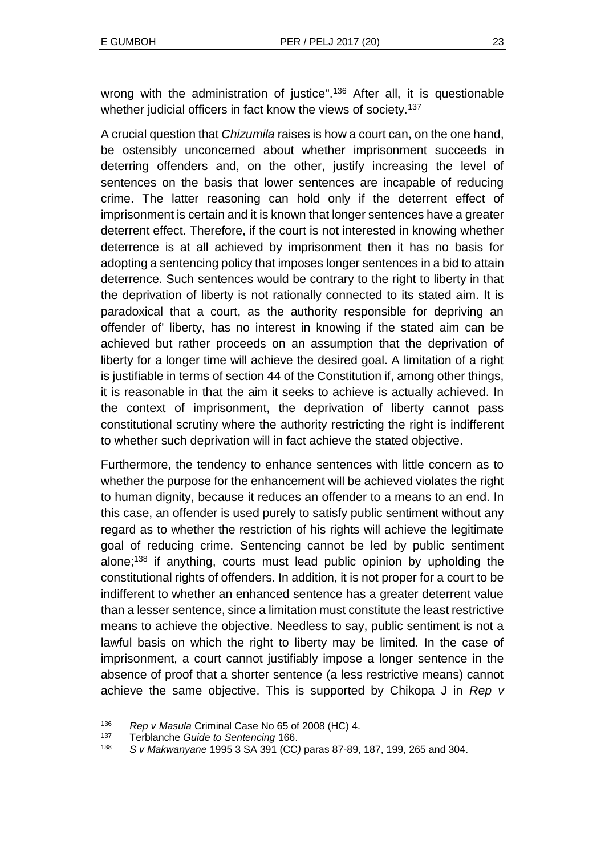wrong with the administration of justice".<sup>136</sup> After all, it is questionable whether judicial officers in fact know the views of society.<sup>137</sup>

A crucial question that *Chizumila* raises is how a court can, on the one hand, be ostensibly unconcerned about whether imprisonment succeeds in deterring offenders and, on the other, justify increasing the level of sentences on the basis that lower sentences are incapable of reducing crime. The latter reasoning can hold only if the deterrent effect of imprisonment is certain and it is known that longer sentences have a greater deterrent effect. Therefore, if the court is not interested in knowing whether deterrence is at all achieved by imprisonment then it has no basis for adopting a sentencing policy that imposes longer sentences in a bid to attain deterrence. Such sentences would be contrary to the right to liberty in that the deprivation of liberty is not rationally connected to its stated aim. It is paradoxical that a court, as the authority responsible for depriving an offender of' liberty, has no interest in knowing if the stated aim can be achieved but rather proceeds on an assumption that the deprivation of liberty for a longer time will achieve the desired goal. A limitation of a right is justifiable in terms of section 44 of the Constitution if, among other things, it is reasonable in that the aim it seeks to achieve is actually achieved. In the context of imprisonment, the deprivation of liberty cannot pass constitutional scrutiny where the authority restricting the right is indifferent to whether such deprivation will in fact achieve the stated objective.

Furthermore, the tendency to enhance sentences with little concern as to whether the purpose for the enhancement will be achieved violates the right to human dignity, because it reduces an offender to a means to an end. In this case, an offender is used purely to satisfy public sentiment without any regard as to whether the restriction of his rights will achieve the legitimate goal of reducing crime. Sentencing cannot be led by public sentiment alone;<sup>138</sup> if anything, courts must lead public opinion by upholding the constitutional rights of offenders. In addition, it is not proper for a court to be indifferent to whether an enhanced sentence has a greater deterrent value than a lesser sentence, since a limitation must constitute the least restrictive means to achieve the objective. Needless to say, public sentiment is not a lawful basis on which the right to liberty may be limited. In the case of imprisonment, a court cannot justifiably impose a longer sentence in the absence of proof that a shorter sentence (a less restrictive means) cannot achieve the same objective. This is supported by Chikopa J in *Rep v* 

 $\overline{a}$ 

<sup>136</sup> *Rep v Masula* Criminal Case No 65 of 2008 (HC) 4.

<sup>137</sup> Terblanche *Guide to Sentencing* 166.

<sup>138</sup> *S v Makwanyane* 1995 3 SA 391 (CC*)* paras 87-89, 187, 199, 265 and 304.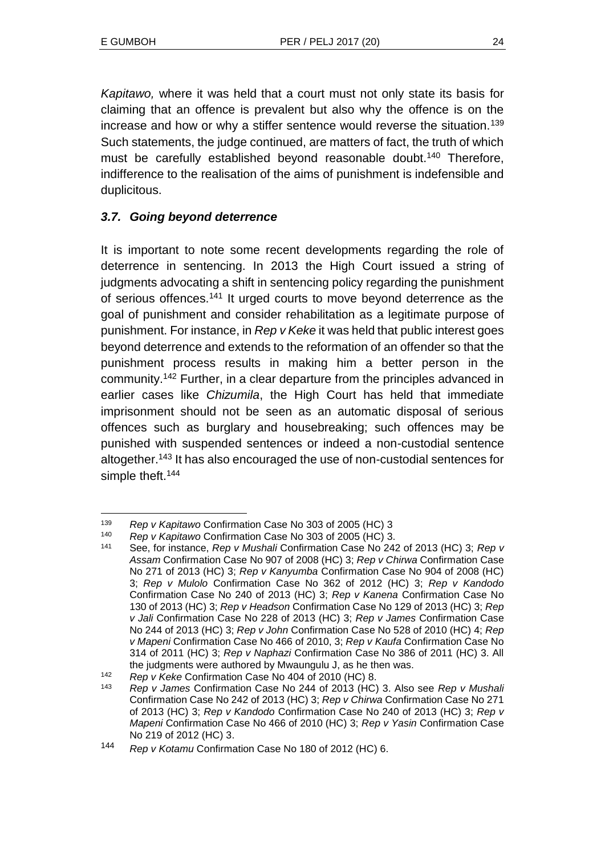*Kapitawo,* where it was held that a court must not only state its basis for claiming that an offence is prevalent but also why the offence is on the increase and how or why a stiffer sentence would reverse the situation.<sup>139</sup> Such statements, the judge continued, are matters of fact, the truth of which must be carefully established beyond reasonable doubt.<sup>140</sup> Therefore, indifference to the realisation of the aims of punishment is indefensible and duplicitous.

### *3.7. Going beyond deterrence*

It is important to note some recent developments regarding the role of deterrence in sentencing. In 2013 the High Court issued a string of judgments advocating a shift in sentencing policy regarding the punishment of serious offences.<sup>141</sup> It urged courts to move beyond deterrence as the goal of punishment and consider rehabilitation as a legitimate purpose of punishment. For instance, in *Rep v Keke* it was held that public interest goes beyond deterrence and extends to the reformation of an offender so that the punishment process results in making him a better person in the community.<sup>142</sup> Further, in a clear departure from the principles advanced in earlier cases like *Chizumila*, the High Court has held that immediate imprisonment should not be seen as an automatic disposal of serious offences such as burglary and housebreaking; such offences may be punished with suspended sentences or indeed a non-custodial sentence altogether.<sup>143</sup> It has also encouraged the use of non-custodial sentences for simple theft.<sup>144</sup>

l <sup>139</sup> *Rep v Kapitawo* Confirmation Case No 303 of 2005 (HC) 3

<sup>140</sup> *Rep v Kapitawo* Confirmation Case No 303 of 2005 (HC) 3.

<sup>141</sup> See, for instance, *Rep v Mushali* Confirmation Case No 242 of 2013 (HC) 3; *Rep v Assam* Confirmation Case No 907 of 2008 (HC) 3; *Rep v Chirwa* Confirmation Case No 271 of 2013 (HC) 3; *Rep v Kanyumba* Confirmation Case No 904 of 2008 (HC) 3; *Rep v Mulolo* Confirmation Case No 362 of 2012 (HC) 3; *Rep v Kandodo*  Confirmation Case No 240 of 2013 (HC) 3; *Rep v Kanena* Confirmation Case No 130 of 2013 (HC) 3; *Rep v Headson* Confirmation Case No 129 of 2013 (HC) 3; *Rep v Jali* Confirmation Case No 228 of 2013 (HC) 3; *Rep v James* Confirmation Case No 244 of 2013 (HC) 3; *Rep v John* Confirmation Case No 528 of 2010 (HC) 4; *Rep v Mapeni* Confirmation Case No 466 of 2010, 3; *Rep v Kaufa* Confirmation Case No 314 of 2011 (HC) 3; *Rep v Naphazi* Confirmation Case No 386 of 2011 (HC) 3. All the judgments were authored by Mwaungulu J, as he then was.

<sup>142</sup> *Rep v Keke* Confirmation Case No 404 of 2010 (HC) 8.

<sup>143</sup> *Rep v James* Confirmation Case No 244 of 2013 (HC) 3. Also see *Rep v Mushali*  Confirmation Case No 242 of 2013 (HC) 3; *Rep v Chirwa* Confirmation Case No 271 of 2013 (HC) 3; *Rep v Kandodo* Confirmation Case No 240 of 2013 (HC) 3; *Rep v Mapeni* Confirmation Case No 466 of 2010 (HC) 3; *Rep v Yasin* Confirmation Case No 219 of 2012 (HC) 3.

<sup>144</sup> *Rep v Kotamu* Confirmation Case No 180 of 2012 (HC) 6.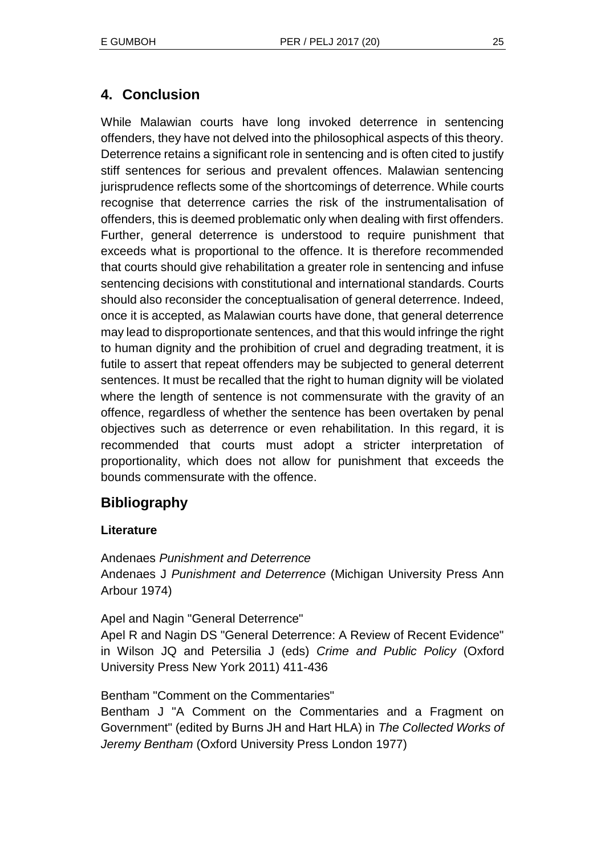## **4. Conclusion**

While Malawian courts have long invoked deterrence in sentencing offenders, they have not delved into the philosophical aspects of this theory. Deterrence retains a significant role in sentencing and is often cited to justify stiff sentences for serious and prevalent offences. Malawian sentencing jurisprudence reflects some of the shortcomings of deterrence. While courts recognise that deterrence carries the risk of the instrumentalisation of offenders, this is deemed problematic only when dealing with first offenders. Further, general deterrence is understood to require punishment that exceeds what is proportional to the offence. It is therefore recommended that courts should give rehabilitation a greater role in sentencing and infuse sentencing decisions with constitutional and international standards. Courts should also reconsider the conceptualisation of general deterrence. Indeed, once it is accepted, as Malawian courts have done, that general deterrence may lead to disproportionate sentences, and that this would infringe the right to human dignity and the prohibition of cruel and degrading treatment, it is futile to assert that repeat offenders may be subjected to general deterrent sentences. It must be recalled that the right to human dignity will be violated where the length of sentence is not commensurate with the gravity of an offence, regardless of whether the sentence has been overtaken by penal objectives such as deterrence or even rehabilitation. In this regard, it is recommended that courts must adopt a stricter interpretation of proportionality, which does not allow for punishment that exceeds the bounds commensurate with the offence.

## **Bibliography**

### **Literature**

Andenaes *Punishment and Deterrence* Andenaes J *Punishment and Deterrence* (Michigan University Press Ann Arbour 1974)

Apel and Nagin "General Deterrence" Apel R and Nagin DS "General Deterrence: A Review of Recent Evidence" in Wilson JQ and Petersilia J (eds) *Crime and Public Policy* (Oxford University Press New York 2011) 411-436

### Bentham "Comment on the Commentaries"

Bentham J "A Comment on the Commentaries and a Fragment on Government" (edited by Burns JH and Hart HLA) in *The Collected Works of Jeremy Bentham* (Oxford University Press London 1977)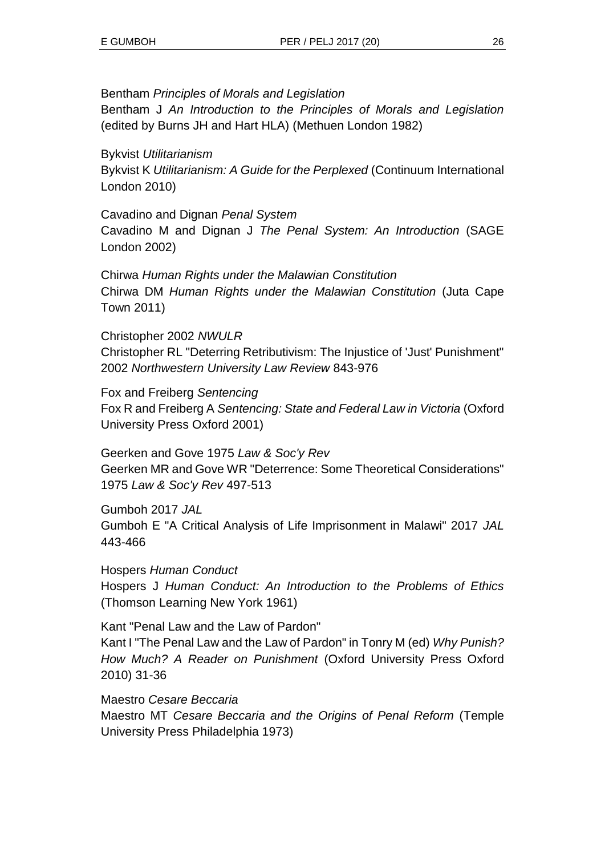Bentham *Principles of Morals and Legislation*

Bentham J *An Introduction to the Principles of Morals and Legislation* (edited by Burns JH and Hart HLA) (Methuen London 1982)

Bykvist *Utilitarianism*

Bykvist K *Utilitarianism: A Guide for the Perplexed* (Continuum International London 2010)

Cavadino and Dignan *Penal System*

Cavadino M and Dignan J *The Penal System: An Introduction* (SAGE London 2002)

Chirwa *Human Rights under the Malawian Constitution* Chirwa DM *Human Rights under the Malawian Constitution* (Juta Cape Town 2011)

Christopher 2002 *NWULR*

Christopher RL "Deterring Retributivism: The Injustice of 'Just' Punishment" 2002 *Northwestern University Law Review* 843-976

Fox and Freiberg *Sentencing* Fox R and Freiberg A *Sentencing: State and Federal Law in Victoria* (Oxford University Press Oxford 2001)

Geerken and Gove 1975 *Law & Soc'y Rev* Geerken MR and Gove WR "Deterrence: Some Theoretical Considerations" 1975 *Law & Soc'y Rev* 497-513

Gumboh 2017 *JAL* Gumboh E "A Critical Analysis of Life Imprisonment in Malawi" 2017 *JAL* 443-466

Hospers *Human Conduct* Hospers J *Human Conduct: An Introduction to the Problems of Ethics* (Thomson Learning New York 1961)

Kant "Penal Law and the Law of Pardon"

Kant I "The Penal Law and the Law of Pardon" in Tonry M (ed) *Why Punish? How Much? A Reader on Punishment* (Oxford University Press Oxford 2010) 31-36

Maestro *Cesare Beccaria*

Maestro MT *Cesare Beccaria and the Origins of Penal Reform* (Temple University Press Philadelphia 1973)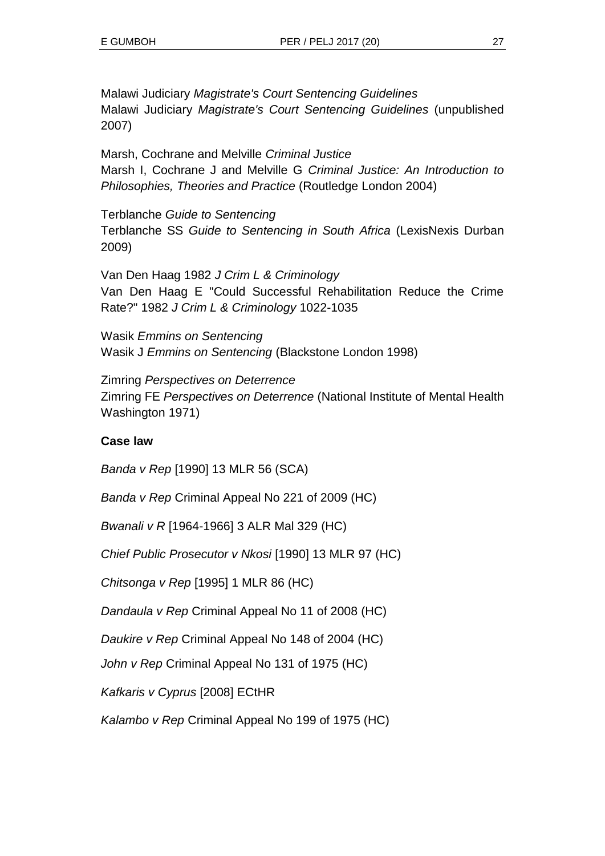Malawi Judiciary *Magistrate's Court Sentencing Guidelines* Malawi Judiciary *Magistrate's Court Sentencing Guidelines* (unpublished 2007)

Marsh, Cochrane and Melville *Criminal Justice* Marsh I, Cochrane J and Melville G *Criminal Justice: An Introduction to Philosophies, Theories and Practice* (Routledge London 2004)

Terblanche *Guide to Sentencing* Terblanche SS *Guide to Sentencing in South Africa* (LexisNexis Durban 2009)

Van Den Haag 1982 *J Crim L & Criminology* Van Den Haag E "Could Successful Rehabilitation Reduce the Crime Rate?" 1982 *J Crim L & Criminology* 1022-1035

Wasik *Emmins on Sentencing* Wasik J *Emmins on Sentencing* (Blackstone London 1998)

Zimring *Perspectives on Deterrence* Zimring FE *Perspectives on Deterrence* (National Institute of Mental Health Washington 1971)

### **Case law**

*Banda v Rep* [1990] 13 MLR 56 (SCA)

*Banda v Rep* Criminal Appeal No 221 of 2009 (HC)

*Bwanali v R* [1964-1966] 3 ALR Mal 329 (HC)

*Chief Public Prosecutor v Nkosi* [1990] 13 MLR 97 (HC)

*Chitsonga v Rep* [1995] 1 MLR 86 (HC)

*Dandaula v Rep* Criminal Appeal No 11 of 2008 (HC)

*Daukire v Rep* Criminal Appeal No 148 of 2004 (HC)

*John v Rep* Criminal Appeal No 131 of 1975 (HC)

*Kafkaris v Cyprus* [2008] ECtHR

*Kalambo v Rep* Criminal Appeal No 199 of 1975 (HC)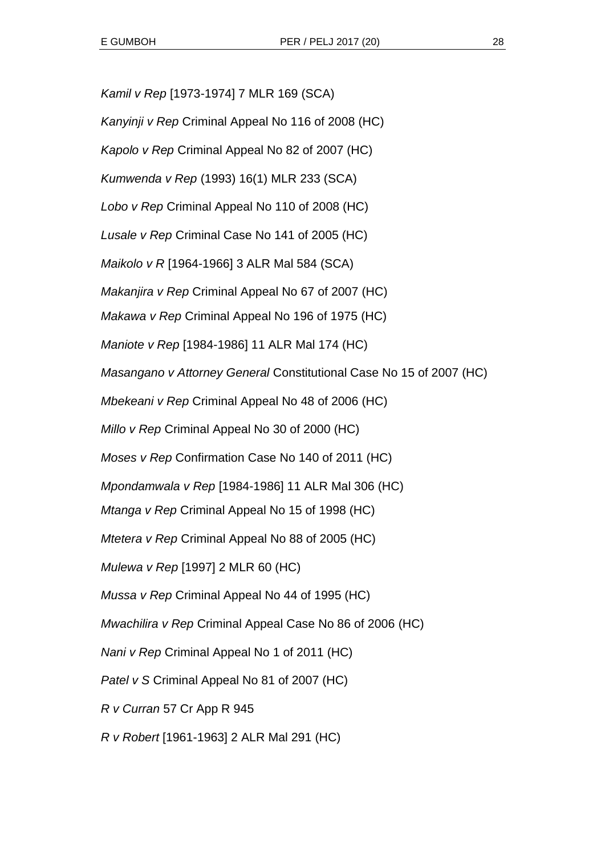*Kamil v Rep* [1973-1974] 7 MLR 169 (SCA) *Kanyinji v Rep* Criminal Appeal No 116 of 2008 (HC) *Kapolo v Rep* Criminal Appeal No 82 of 2007 (HC) *Kumwenda v Rep* (1993) 16(1) MLR 233 (SCA) *Lobo v Rep* Criminal Appeal No 110 of 2008 (HC) *Lusale v Rep* Criminal Case No 141 of 2005 (HC) *Maikolo v R* [1964-1966] 3 ALR Mal 584 (SCA) *Makanjira v Rep* Criminal Appeal No 67 of 2007 (HC) *Makawa v Rep* Criminal Appeal No 196 of 1975 (HC) *Maniote v Rep* [1984-1986] 11 ALR Mal 174 (HC) *Masangano v Attorney General* Constitutional Case No 15 of 2007 (HC) *Mbekeani v Rep* Criminal Appeal No 48 of 2006 (HC) *Millo v Rep* Criminal Appeal No 30 of 2000 (HC) *Moses v Rep* Confirmation Case No 140 of 2011 (HC) *Mpondamwala v Rep* [1984-1986] 11 ALR Mal 306 (HC) *Mtanga v Rep* Criminal Appeal No 15 of 1998 (HC) *Mtetera v Rep* Criminal Appeal No 88 of 2005 (HC) *Mulewa v Rep* [1997] 2 MLR 60 (HC) *Mussa v Rep* Criminal Appeal No 44 of 1995 (HC) *Mwachilira v Rep* Criminal Appeal Case No 86 of 2006 (HC) *Nani v Rep* Criminal Appeal No 1 of 2011 (HC) *Patel v S* Criminal Appeal No 81 of 2007 (HC) *R v Curran* 57 Cr App R 945 *R v Robert* [1961-1963] 2 ALR Mal 291 (HC)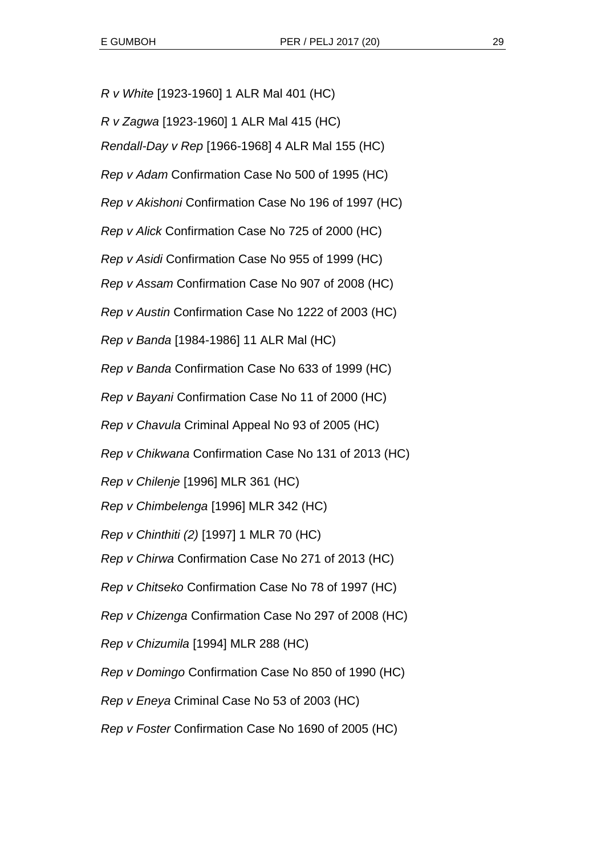*R v White* [1923-1960] 1 ALR Mal 401 (HC) *R v Zagwa* [1923-1960] 1 ALR Mal 415 (HC) *Rendall-Day v Rep* [1966-1968] 4 ALR Mal 155 (HC) *Rep v Adam* Confirmation Case No 500 of 1995 (HC) *Rep v Akishoni* Confirmation Case No 196 of 1997 (HC) *Rep v Alick* Confirmation Case No 725 of 2000 (HC) *Rep v Asidi* Confirmation Case No 955 of 1999 (HC) *Rep v Assam* Confirmation Case No 907 of 2008 (HC) *Rep v Austin* Confirmation Case No 1222 of 2003 (HC) *Rep v Banda* [1984-1986] 11 ALR Mal (HC) *Rep v Banda* Confirmation Case No 633 of 1999 (HC) *Rep v Bayani* Confirmation Case No 11 of 2000 (HC) *Rep v Chavula* Criminal Appeal No 93 of 2005 (HC) *Rep v Chikwana* Confirmation Case No 131 of 2013 (HC) *Rep v Chilenje* [1996] MLR 361 (HC) *Rep v Chimbelenga* [1996] MLR 342 (HC) *Rep v Chinthiti (2)* [1997] 1 MLR 70 (HC) *Rep v Chirwa* Confirmation Case No 271 of 2013 (HC) *Rep v Chitseko* Confirmation Case No 78 of 1997 (HC) *Rep v Chizenga* Confirmation Case No 297 of 2008 (HC) *Rep v Chizumila* [1994] MLR 288 (HC) *Rep v Domingo* Confirmation Case No 850 of 1990 (HC) *Rep v Eneya* Criminal Case No 53 of 2003 (HC) *Rep v Foster* Confirmation Case No 1690 of 2005 (HC)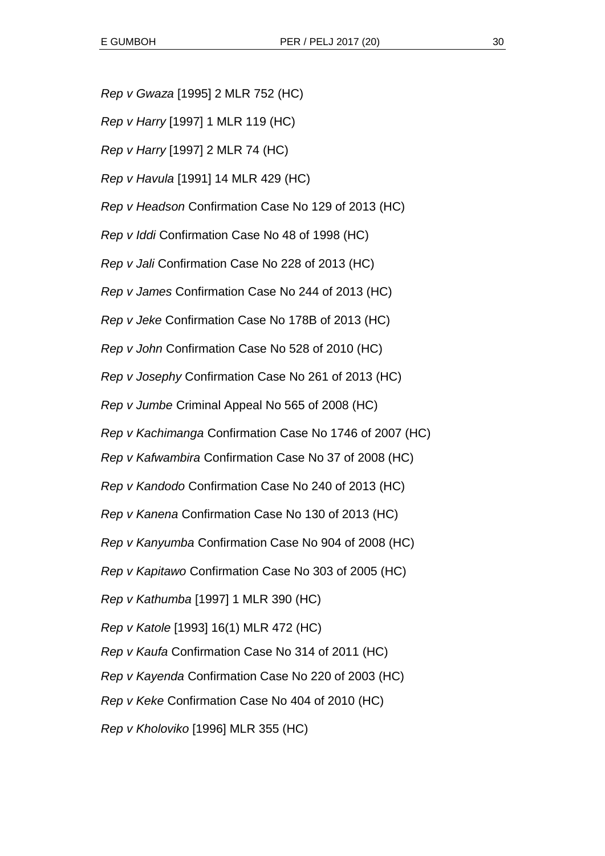*Rep v Gwaza* [1995] 2 MLR 752 (HC) *Rep v Harry* [1997] 1 MLR 119 (HC) *Rep v Harry* [1997] 2 MLR 74 (HC) *Rep v Havula* [1991] 14 MLR 429 (HC) *Rep v Headson* Confirmation Case No 129 of 2013 (HC) *Rep v Iddi* Confirmation Case No 48 of 1998 (HC) *Rep v Jali* Confirmation Case No 228 of 2013 (HC) *Rep v James* Confirmation Case No 244 of 2013 (HC) *Rep v Jeke* Confirmation Case No 178B of 2013 (HC) *Rep v John* Confirmation Case No 528 of 2010 (HC) *Rep v Josephy* Confirmation Case No 261 of 2013 (HC) *Rep v Jumbe* Criminal Appeal No 565 of 2008 (HC) *Rep v Kachimanga* Confirmation Case No 1746 of 2007 (HC) *Rep v Kafwambira* Confirmation Case No 37 of 2008 (HC) *Rep v Kandodo* Confirmation Case No 240 of 2013 (HC) *Rep v Kanena* Confirmation Case No 130 of 2013 (HC) *Rep v Kanyumba* Confirmation Case No 904 of 2008 (HC) *Rep v Kapitawo* Confirmation Case No 303 of 2005 (HC) *Rep v Kathumba* [1997] 1 MLR 390 (HC) *Rep v Katole* [1993] 16(1) MLR 472 (HC) *Rep v Kaufa* Confirmation Case No 314 of 2011 (HC) *Rep v Kayenda* Confirmation Case No 220 of 2003 (HC) *Rep v Keke* Confirmation Case No 404 of 2010 (HC)

*Rep v Kholoviko* [1996] MLR 355 (HC)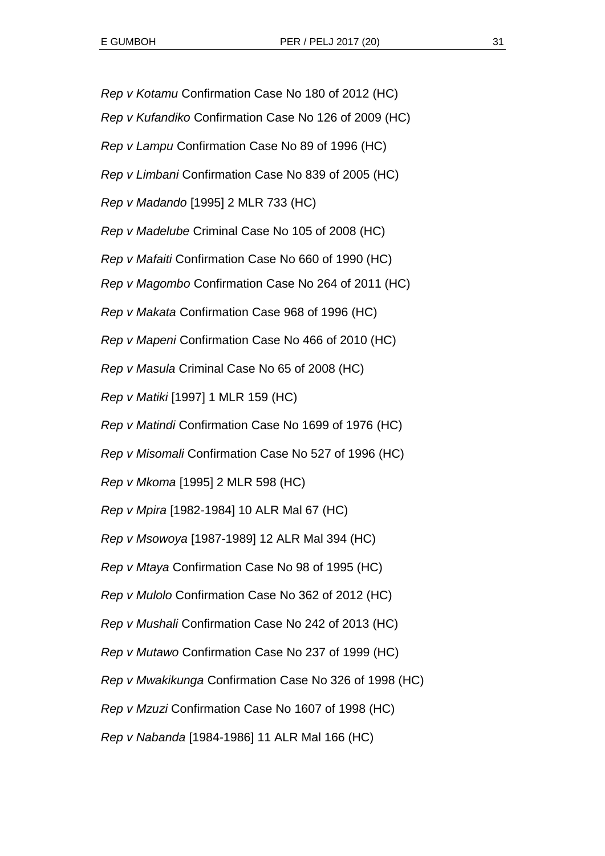*Rep v Kotamu* Confirmation Case No 180 of 2012 (HC) *Rep v Kufandiko* Confirmation Case No 126 of 2009 (HC) *Rep v Lampu* Confirmation Case No 89 of 1996 (HC) *Rep v Limbani* Confirmation Case No 839 of 2005 (HC) *Rep v Madando* [1995] 2 MLR 733 (HC) *Rep v Madelube* Criminal Case No 105 of 2008 (HC) *Rep v Mafaiti* Confirmation Case No 660 of 1990 (HC) *Rep v Magombo* Confirmation Case No 264 of 2011 (HC) *Rep v Makata* Confirmation Case 968 of 1996 (HC) *Rep v Mapeni* Confirmation Case No 466 of 2010 (HC) *Rep v Masula* Criminal Case No 65 of 2008 (HC) *Rep v Matiki* [1997] 1 MLR 159 (HC) *Rep v Matindi* Confirmation Case No 1699 of 1976 (HC) *Rep v Misomali* Confirmation Case No 527 of 1996 (HC) *Rep v Mkoma* [1995] 2 MLR 598 (HC) *Rep v Mpira* [1982-1984] 10 ALR Mal 67 (HC) *Rep v Msowoya* [1987-1989] 12 ALR Mal 394 (HC) *Rep v Mtaya* Confirmation Case No 98 of 1995 (HC) *Rep v Mulolo* Confirmation Case No 362 of 2012 (HC) *Rep v Mushali* Confirmation Case No 242 of 2013 (HC) *Rep v Mutawo* Confirmation Case No 237 of 1999 (HC) *Rep v Mwakikunga* Confirmation Case No 326 of 1998 (HC) *Rep v Mzuzi* Confirmation Case No 1607 of 1998 (HC) *Rep v Nabanda* [1984-1986] 11 ALR Mal 166 (HC)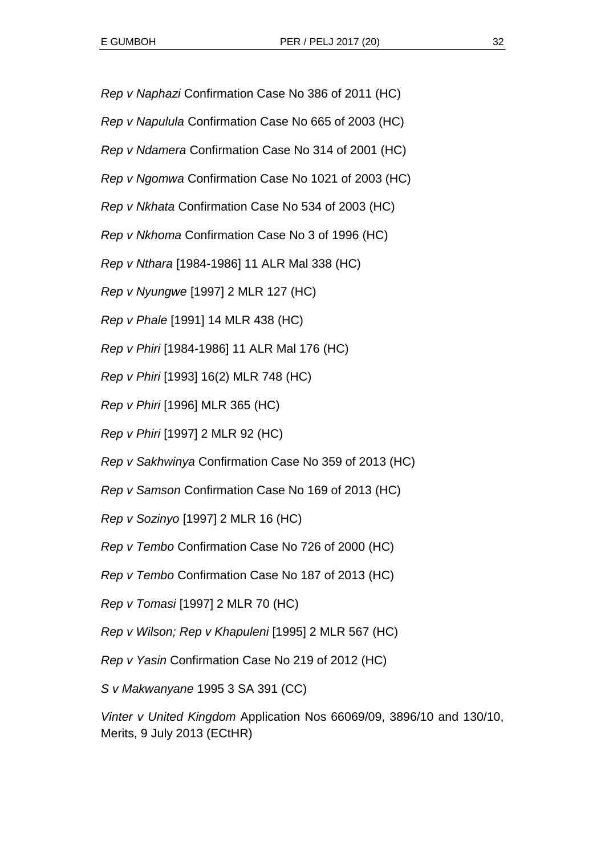| Rep v Naphazi Confirmation Case No 386 of 2011 (HC)       |
|-----------------------------------------------------------|
| Rep v Napulula Confirmation Case No 665 of 2003 (HC)      |
| Rep v Ndamera Confirmation Case No 314 of 2001 (HC)       |
| Rep v Ngomwa Confirmation Case No 1021 of 2003 (HC)       |
| Rep v Nkhata Confirmation Case No 534 of 2003 (HC)        |
| Rep v Nkhoma Confirmation Case No 3 of 1996 (HC)          |
| Rep v Nthara [1984-1986] 11 ALR Mal 338 (HC)              |
| Rep v Nyungwe [1997] 2 MLR 127 (HC)                       |
| Rep v Phale [1991] 14 MLR 438 (HC)                        |
| Rep v Phiri [1984-1986] 11 ALR Mal 176 (HC)               |
| Rep v Phiri [1993] 16(2) MLR 748 (HC)                     |
| Rep v Phiri [1996] MLR 365 (HC)                           |
| Rep v Phiri [1997] 2 MLR 92 (HC)                          |
| Rep v Sakhwinya Confirmation Case No 359 of 2013 (HC)     |
| Rep v Samson Confirmation Case No 169 of 2013 (HC)        |
| Rep v Sozinyo [1997] 2 MLR 16 (HC)                        |
| Rep v Tembo Confirmation Case No 726 of 2000 (HC)         |
| Rep v Tembo Confirmation Case No 187 of 2013 (HC)         |
| Rep v Tomasi [1997] 2 MLR 70 (HC)                         |
| Rep v Wilson; Rep v Khapuleni [1995] 2 MLR 567 (HC)       |
| Rep v Yasin Confirmation Case No 219 of 2012 (HC)         |
| S v Makwanyane 1995 3 SA 391 (CC)                         |
| Vinter v United Kingdom Application Nos 66069/09, 3896/10 |

and 130/10, Merits, 9 July 2013 (ECtHR)